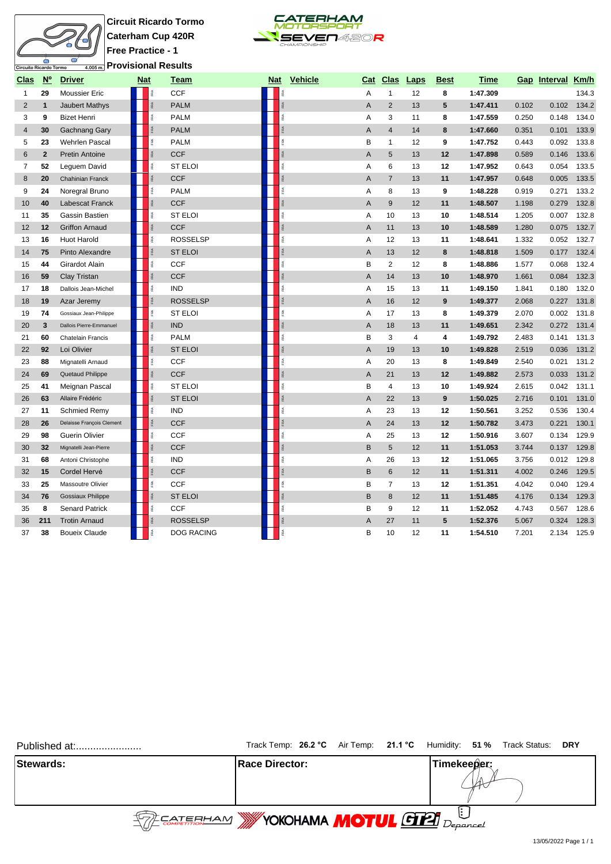## $\overline{\bullet}$ Circuito Ricardo Tormo

**Circuit Ricardo Tormo Caterham Cup 420R Free Practice - 1 Provisional Results**



| <b>Clas</b>    | $\underline{N}^{\circ}$ | <b>Driver</b>             | <b>Nat</b> |                 | Team              | <u>Nat</u>    | <b>Vehicle</b> | <u>Cat</u>     | <b>Clas</b>      | <b>Laps</b> | <b>Best</b> | <u>Time</u> |       | Gap Interval | Km/h  |
|----------------|-------------------------|---------------------------|------------|-----------------|-------------------|---------------|----------------|----------------|------------------|-------------|-------------|-------------|-------|--------------|-------|
| 1              | 29                      | <b>Moussier Eric</b>      |            |                 | CCF               |               |                | Α              | $\mathbf{1}$     | 12          | 8           | 1:47.309    |       |              | 134.3 |
| $\overline{2}$ | $\mathbf{1}$            | <b>Jaubert Mathys</b>     |            |                 | <b>PALM</b>       |               | RÁ             | $\overline{A}$ | 2                | 13          | 5           | 1:47.411    | 0.102 | 0.102        | 134.2 |
| 3              | 9                       | <b>Bizet Henri</b>        |            | RA <sub>1</sub> | <b>PALM</b>       |               | FRA            | A              | 3                | 11          | 8           | 1:47.559    | 0.250 | 0.148        | 134.0 |
| $\overline{4}$ | 30                      | Gachnang Gary             |            |                 | <b>PALM</b>       |               | RA.            | A              | $\overline{4}$   | 14          | 8           | 1:47.660    | 0.351 | 0.101        | 133.9 |
| 5              | 23                      | <b>Wehrlen Pascal</b>     |            |                 | <b>PALM</b>       |               | FRA            | B              | $\mathbf{1}$     | 12          | 9           | 1:47.752    | 0.443 | 0.092        | 133.8 |
| 6              | $\overline{2}$          | <b>Pretin Antoine</b>     |            |                 | <b>CCF</b>        |               | FØ.            | A              | 5                | 13          | 12          | 1:47.898    | 0.589 | 0.146        | 133.6 |
| $\overline{7}$ | 52                      | Leguem David              |            | P               | <b>ST ELOI</b>    |               | ERA.           | Α              | 6                | 13          | 12          | 1:47.952    | 0.643 | 0.054        | 133.5 |
| 8              | 20                      | Chahinian Franck          |            |                 | CCF               | FRA           |                | A              | $\overline{7}$   | 13          | 11          | 1:47.957    | 0.648 | 0.005        | 133.5 |
| 9              | 24                      | Noregral Bruno            |            |                 | <b>PALM</b>       |               | FRA            | Α              | 8                | 13          | 9           | 1:48.228    | 0.919 | 0.271        | 133.2 |
| 10             | 40                      | Labescat Franck           |            |                 | <b>CCF</b>        |               | FRA            | A              | $\boldsymbol{9}$ | 12          | 11          | 1:48.507    | 1.198 | 0.279        | 132.8 |
| 11             | 35                      | Gassin Bastien            |            |                 | <b>ST ELOI</b>    |               | FRA            | A              | 10               | 13          | 10          | 1:48.514    | 1.205 | 0.007        | 132.8 |
| 12             | 12                      | <b>Griffon Arnaud</b>     |            |                 | <b>CCF</b>        |               | FRA            | A              | 11               | 13          | 10          | 1:48.589    | 1.280 | 0.075        | 132.7 |
| 13             | 16                      | <b>Huot Harold</b>        |            | RA              | <b>ROSSELSP</b>   |               | FRA            | A              | 12               | 13          | 11          | 1:48.641    | 1.332 | 0.052        | 132.7 |
| 14             | 75                      | Pinto Alexandre           |            |                 | <b>ST ELOI</b>    | $\frac{4}{R}$ |                | $\overline{A}$ | 13               | 12          | 8           | 1:48.818    | 1.509 | 0.177        | 132.4 |
| 15             | 44                      | Girardot Alain            |            | FØ.             | <b>CCF</b>        |               | FRA            | B              | $\overline{2}$   | 12          | 8           | 1:48.886    | 1.577 | 0.068        | 132.4 |
| 16             | 59                      | Clay Tristan              |            |                 | <b>CCF</b>        |               |                | A              | 14               | 13          | 10          | 1:48.970    | 1.661 | 0.084        | 132.3 |
| 17             | 18                      | Dallois Jean-Michel       |            |                 | <b>IND</b>        |               | īRA            | Α              | 15               | 13          | 11          | 1:49.150    | 1.841 | 0.180        | 132.0 |
| 18             | 19                      | Azar Jeremy               |            |                 | <b>ROSSELSP</b>   |               |                | A              | 16               | 12          | 9           | 1:49.377    | 2.068 | 0.227        | 131.8 |
| 19             | 74                      | Gossiaux Jean-Philippe    |            |                 | <b>ST ELOI</b>    |               | é              | Α              | 17               | 13          | 8           | 1:49.379    | 2.070 | 0.002        | 131.8 |
| 20             | 3                       | Dallois Pierre-Emmanuel   |            |                 | <b>IND</b>        |               |                | $\overline{A}$ | 18               | 13          | 11          | 1:49.651    | 2.342 | 0.272        | 131.4 |
| 21             | 60                      | <b>Chatelain Francis</b>  |            |                 | <b>PALM</b>       |               |                | B              | 3                | 4           | 4           | 1:49.792    | 2.483 | 0.141        | 131.3 |
| 22             | 92                      | Loi Olivier               |            |                 | <b>ST ELOI</b>    |               |                | $\overline{A}$ | 19               | 13          | 10          | 1:49.828    | 2.519 | 0.036        | 131.2 |
| 23             | 88                      | Mignatelli Arnaud         |            |                 | <b>CCF</b>        |               | é              | Α              | 20               | 13          | 8           | 1:49.849    | 2.540 | 0.021        | 131.2 |
| 24             | 69                      | Quetaud Philippe          |            |                 | <b>CCF</b>        |               |                | Α              | 21               | 13          | 12          | 1:49.882    | 2.573 | 0.033        | 131.2 |
| 25             | 41                      | Meignan Pascal            |            |                 | <b>ST ELOI</b>    |               | é              | B              | 4                | 13          | 10          | 1:49.924    | 2.615 | 0.042        | 131.1 |
| 26             | 63                      | Allaire Frédéric          |            |                 | <b>ST ELOI</b>    |               |                | A              | 22               | 13          | 9           | 1:50.025    | 2.716 | 0.101        | 131.0 |
| 27             | 11                      | <b>Schmied Remy</b>       |            |                 | <b>IND</b>        |               | Ř              | Α              | 23               | 13          | 12          | 1:50.561    | 3.252 | 0.536        | 130.4 |
| 28             | 26                      | Delaisse François Clement |            |                 | <b>CCF</b>        |               |                | A              | 24               | 13          | 12          | 1:50.782    | 3.473 | 0.221        | 130.1 |
| 29             | 98                      | Guerin Olivier            |            |                 | CCF               |               | é              | Α              | 25               | 13          | 12          | 1:50.916    | 3.607 | 0.134        | 129.9 |
| 30             | 32                      | Mignatelli Jean-Pierre    |            |                 | CCF               |               |                | $\sf B$        | $\overline{5}$   | 12          | 11          | 1:51.053    | 3.744 | 0.137        | 129.8 |
| 31             | 68                      | Antoni Christophe         |            |                 | <b>IND</b>        |               | 益              | Α              | 26               | 13          | 12          | 1:51.065    | 3.756 | 0.012        | 129.8 |
| 32             | 15                      | Cordel Hervé              |            |                 | <b>CCF</b>        |               |                | B              | $\,6$            | 12          | 11          | 1:51.311    | 4.002 | 0.246        | 129.5 |
| 33             | 25                      | Massoutre Olivier         |            |                 | <b>CCF</b>        |               | î.             | B              | $\overline{7}$   | 13          | 12          | 1:51.351    | 4.042 | 0.040        | 129.4 |
| 34             | 76                      | Gossiaux Philippe         |            |                 | <b>ST ELOI</b>    |               | FRA            | B              | 8                | 12          | 11          | 1:51.485    | 4.176 | 0.134        | 129.3 |
| 35             | 8                       | <b>Senard Patrick</b>     |            |                 | <b>CCF</b>        |               | RA.            | B              | 9                | 12          | 11          | 1:52.052    | 4.743 | 0.567        | 128.6 |
| 36             | 211                     | <b>Trotin Arnaud</b>      |            |                 | <b>ROSSELSP</b>   |               | é.             | $\overline{A}$ | 27               | 11          | 5           | 1:52.376    | 5.067 | 0.324        | 128.3 |
| 37             | 38                      | <b>Boueix Claude</b>      |            |                 | <b>DOG RACING</b> |               | é              | B              | 10               | 12          | 11          | 1:54.510    | 7.201 | 2.134        | 125.9 |

| Published at: | Track Temp: 26.2 °C Air Temp: 21.1 °C Humidity: 51 % Track Status: DRY                                                           |             |  |  |  |  |
|---------------|----------------------------------------------------------------------------------------------------------------------------------|-------------|--|--|--|--|
| Stewards:     | <b>IRace Director:</b>                                                                                                           | Timekeeper: |  |  |  |  |
|               | $\widehat{\mathbb{Z}/\mathbb{Z}}$ fatesham $\mathbb{Z}/\mathbb{Z}$ YOKOHAMA $\mathbb{M}$ OTUL GT $\widehat{\mathbf{H}}$ Deparcel |             |  |  |  |  |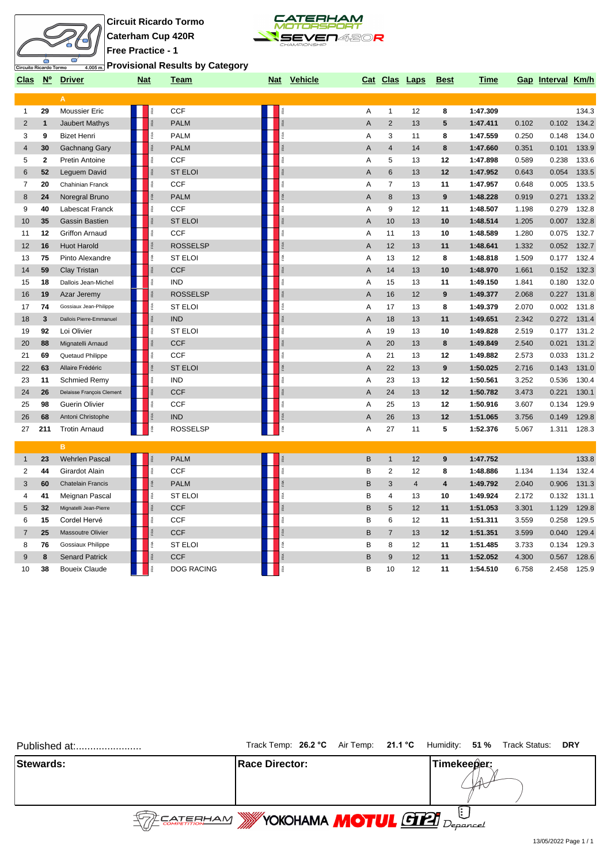

**Circuit Ricardo Tormo Caterham Cup 420R**



**Provisional Results by Category**

| <b>Clas</b>    | $\underline{N}^{\circ}$ | <b>Driver</b>             | <u>Nat</u> |      | Team              | <u>Nat</u> | <b>Vehicle</b> |                | Cat Clas Laps  |                | <u>Best</u>             | <u>Time</u> |       | Gap Interval Km/h |       |
|----------------|-------------------------|---------------------------|------------|------|-------------------|------------|----------------|----------------|----------------|----------------|-------------------------|-------------|-------|-------------------|-------|
|                |                         | A                         |            |      |                   |            |                |                |                |                |                         |             |       |                   |       |
| 1              | 29                      | Moussier Eric             |            |      | <b>CCF</b>        |            |                | A              | $\mathbf{1}$   | 12             | 8                       | 1:47.309    |       |                   | 134.3 |
| $\overline{2}$ | $\mathbf{1}$            | <b>Jaubert Mathys</b>     |            |      | <b>PALM</b>       | FRA        |                | A              | $\overline{2}$ | 13             | 5                       | 1:47.411    | 0.102 | 0.102             | 134.2 |
| 3              | 9                       | <b>Bizet Henri</b>        |            |      | <b>PALM</b>       | FRA        |                | A              | 3              | 11             | 8                       | 1:47.559    | 0.250 | 0.148             | 134.0 |
| 4              | 30                      | Gachnang Gary             |            |      | <b>PALM</b>       | FRA        |                | A              | $\overline{4}$ | 14             | 8                       | 1:47.660    | 0.351 | 0.101             | 133.9 |
| 5              | $\mathbf 2$             | Pretin Antoine            |            |      | <b>CCF</b>        | FRA        |                | A              | 5              | 13             | 12                      | 1:47.898    | 0.589 | 0.238             | 133.6 |
| 6              | 52                      | Leguem David              |            |      | <b>ST ELOI</b>    |            |                | A              | $6\phantom{1}$ | 13             | 12                      | 1:47.952    | 0.643 | 0.054             | 133.5 |
| $\overline{7}$ | 20                      | Chahinian Franck          |            |      | <b>CCF</b>        | FRA        |                | Α              | $\overline{7}$ | 13             | 11                      | 1:47.957    | 0.648 | 0.005             | 133.5 |
| 8              | 24                      | Noregral Bruno            |            |      | <b>PALM</b>       | <b>RA</b>  |                | $\overline{A}$ | 8              | 13             | 9                       | 1:48.228    | 0.919 | 0.271             | 133.2 |
| 9              | 40                      | Labescat Franck           |            |      | <b>CCF</b>        | FRA        |                | Α              | 9              | 12             | 11                      | 1:48.507    | 1.198 | 0.279             | 132.8 |
| 10             | 35                      | <b>Gassin Bastien</b>     |            |      | <b>ST ELOI</b>    | ŘÁ         |                | A              | 10             | 13             | 10                      | 1:48.514    | 1.205 | 0.007             | 132.8 |
| 11             | 12                      | <b>Griffon Arnaud</b>     |            | îRA. | <b>CCF</b>        | FRA        |                | Α              | 11             | 13             | 10                      | 1:48.589    | 1.280 | 0.075             | 132.7 |
| 12             | 16                      | <b>Huot Harold</b>        |            |      | <b>ROSSELSP</b>   | FRA        |                | $\overline{A}$ | 12             | 13             | 11                      | 1:48.641    | 1.332 | 0.052             | 132.7 |
| 13             | 75                      | Pinto Alexandre           |            |      | <b>ST ELOI</b>    | FRA        |                | Α              | 13             | 12             | 8                       | 1:48.818    | 1.509 | 0.177             | 132.4 |
| 14             | 59                      | Clay Tristan              |            |      | <b>CCF</b>        | FØ.        |                | A              | 14             | 13             | 10                      | 1:48.970    | 1.661 | 0.152             | 132.3 |
| 15             | 18                      | Dallois Jean-Michel       |            |      | <b>IND</b>        | FRA        |                | Α              | 15             | 13             | 11                      | 1:49.150    | 1.841 | 0.180             | 132.0 |
| 16             | 19                      | Azar Jeremy               |            |      | <b>ROSSELSP</b>   | FRA        |                | $\overline{A}$ | 16             | 12             | 9                       | 1:49.377    | 2.068 | 0.227             | 131.8 |
| 17             | 74                      | Gossiaux Jean-Philippe    |            | īRA. | <b>ST ELOI</b>    | FRA        |                | Α              | 17             | 13             | 8                       | 1:49.379    | 2.070 | 0.002             | 131.8 |
| 18             | $\mathbf{3}$            | Dallois Pierre-Emmanuel   |            | RA   | <b>IND</b>        | <b>FRA</b> |                | A              | 18             | 13             | 11                      | 1:49.651    | 2.342 | 0.272             | 131.4 |
| 19             | 92                      | Loi Olivier               |            |      | <b>ST ELOI</b>    | E          |                | A              | 19             | 13             | 10                      | 1:49.828    | 2.519 | 0.177             | 131.2 |
| 20             | 88                      | Mignatelli Arnaud         |            |      | <b>CCF</b>        | <b>FRA</b> |                | $\overline{A}$ | 20             | 13             | 8                       | 1:49.849    | 2.540 | 0.021             | 131.2 |
| 21             | 69                      | Quetaud Philippe          |            | ã    | <b>CCF</b>        | FRA        |                | Α              | 21             | 13             | 12                      | 1:49.882    | 2.573 | 0.033             | 131.2 |
| 22             | 63                      | Allaire Frédéric          |            | 泵    | <b>ST ELOI</b>    | ŘÁ         |                | $\overline{A}$ | 22             | 13             | 9                       | 1:50.025    | 2.716 | 0.143             | 131.0 |
| 23             | 11                      | Schmied Remy              |            | é    | <b>IND</b>        | ş.         |                | Α              | 23             | 13             | 12                      | 1:50.561    | 3.252 | 0.536             | 130.4 |
| 24             | 26                      | Delaisse François Clement |            | RA   | <b>CCF</b>        | FRA        |                | A              | 24             | 13             | 12                      | 1:50.782    | 3.473 | 0.221             | 130.1 |
| 25             | 98                      | <b>Guerin Olivier</b>     |            |      | <b>CCF</b>        | FRA        |                | Α              | 25             | 13             | 12                      | 1:50.916    | 3.607 | 0.134             | 129.9 |
| 26             | 68                      | Antoni Christophe         |            | īRA  | <b>IND</b>        | FRA        |                | A              | 26             | 13             | 12                      | 1:51.065    | 3.756 | 0.149             | 129.8 |
| 27             | 211                     | <b>Trotin Arnaud</b>      |            | é    | <b>ROSSELSP</b>   | 圅          |                | A              | 27             | 11             | 5                       | 1:52.376    | 5.067 | 1.311             | 128.3 |
|                |                         | B.                        |            |      |                   |            |                |                |                |                |                         |             |       |                   |       |
| $\mathbf{1}$   | 23                      | <b>Wehrlen Pascal</b>     |            |      | <b>PALM</b>       | FRA        |                | B              | $\mathbf{1}$   | 12             | 9                       | 1:47.752    |       |                   | 133.8 |
| 2              | 44                      | Girardot Alain            |            | îRA. | <b>CCF</b>        | RA.        |                | В              | 2              | 12             | 8                       | 1:48.886    | 1.134 | 1.134             | 132.4 |
| 3              | 60                      | <b>Chatelain Francis</b>  |            |      | <b>PALM</b>       | RÁ         |                | B              | 3              | $\overline{4}$ | $\overline{\mathbf{4}}$ | 1:49.792    | 2.040 | 0.906             | 131.3 |
| 4              | 41                      | Meignan Pascal            |            |      | <b>ST ELOI</b>    | i.         |                | B              | 4              | 13             | 10                      | 1:49.924    | 2.172 | 0.132             | 131.1 |
| 5              | 32                      | Mignatelli Jean-Pierre    |            |      | <b>CCF</b>        | FRA        |                | B              | 5              | 12             | 11                      | 1:51.053    | 3.301 | 1.129             | 129.8 |
| 6              | 15                      | Cordel Hervé              |            |      | <b>CCF</b>        | FRA        |                | B              | 6              | 12             | 11                      | 1:51.311    | 3.559 | 0.258             | 129.5 |
| 7              | 25                      | Massoutre Olivier         |            |      | <b>CCF</b>        | FRA        |                | B              | $\overline{7}$ | 13             | 12                      | 1:51.351    | 3.599 | 0.040             | 129.4 |
| 8              | 76                      | Gossiaux Philippe         |            | é    | <b>ST ELOI</b>    | FRA        |                | B              | 8              | 12             | 11                      | 1:51.485    | 3.733 | 0.134             | 129.3 |
| 9              | 8                       | <b>Senard Patrick</b>     |            |      | <b>CCF</b>        |            |                | B              | 9              | 12             | 11                      | 1:52.052    | 4.300 | 0.567             | 128.6 |
| 10             | 38                      | <b>Boueix Claude</b>      |            |      | <b>DOG RACING</b> | RA         |                | B              | 10             | 12             | 11                      | 1:54.510    | 6.758 | 2.458             | 125.9 |

| Published at: | Track Temp: 26.2 °C Air Temp: 21.1 °C Humidity: 51 % Track Status: DRY |             |
|---------------|------------------------------------------------------------------------|-------------|
| Stewards:     | <b>Race Director:</b>                                                  | Timekeeber: |
|               | WOKOHAMA <b>MOTUL</b> GP4 Deparced                                     |             |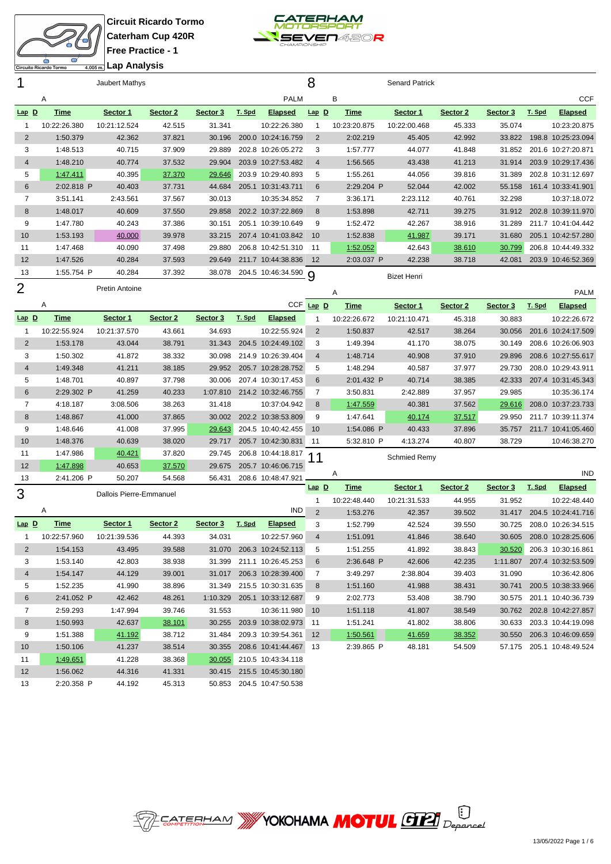

1:48.376 40.639 38.020 29.717 205.7 10:42:30.831

2:20.358 P 44.192 45.313 50.853 204.5 10:47:50.538



**Lap Analysis**

| 1              |              | Jaubert Mathys |          |          |        |                    | 8              |              | <b>Senard Patrick</b> |          |          |        |                    |
|----------------|--------------|----------------|----------|----------|--------|--------------------|----------------|--------------|-----------------------|----------|----------|--------|--------------------|
|                | Α            |                |          |          |        | <b>PALM</b>        |                | B            |                       |          |          |        | <b>CCF</b>         |
| $Lap$ $D$      | <b>Time</b>  | Sector 1       | Sector 2 | Sector 3 | T. Spd | <b>Elapsed</b>     | $Lap$ $D$      | <b>Time</b>  | Sector 1              | Sector 2 | Sector 3 | T. Spd | <b>Elapsed</b>     |
| 1              | 10:22:26.380 | 10:21:12.524   | 42.515   | 31.341   |        | 10:22:26.380       | 1              | 10:23:20.875 | 10:22:00.468          | 45.333   | 35.074   |        | 10:23:20.875       |
| $\overline{2}$ | 1:50.379     | 42.362         | 37.821   | 30.196   |        | 200.0 10:24:16.759 | 2              | 2:02.219     | 45.405                | 42.992   | 33.822   |        | 198.8 10:25:23.094 |
| 3              | 1:48.513     | 40.715         | 37.909   | 29.889   |        | 202.8 10:26:05.272 | 3              | 1:57.777     | 44.077                | 41.848   | 31.852   |        | 201.6 10:27:20.871 |
| $\overline{4}$ | 1:48.210     | 40.774         | 37.532   | 29.904   |        | 203.9 10:27:53.482 | $\overline{4}$ | 1:56.565     | 43.438                | 41.213   | 31.914   |        | 203.9 10:29:17.436 |
| 5              | 1:47.411     | 40.395         | 37.370   | 29.646   |        | 203.9 10:29:40.893 | 5              | 1:55.261     | 44.056                | 39.816   | 31.389   |        | 202.8 10:31:12.697 |
| 6              | 2:02.818 P   | 40.403         | 37.731   | 44.684   |        | 205.1 10:31:43.711 | 6              | 2:29.204 P   | 52.044                | 42.002   | 55.158   |        | 161.4 10:33:41.901 |
| $\overline{7}$ | 3:51.141     | 2:43.561       | 37.567   | 30.013   |        | 10:35:34.852       | 7              | 3:36.171     | 2:23.112              | 40.761   | 32.298   |        | 10:37:18.072       |
| 8              | 1:48.017     | 40.609         | 37.550   | 29.858   |        | 202.2 10:37:22.869 | 8              | 1:53.898     | 42.711                | 39.275   | 31.912   |        | 202.8 10:39:11.970 |
| 9              | 1:47.780     | 40.243         | 37.386   | 30.151   |        | 205.1 10:39:10.649 | 9              | 1:52.472     | 42.267                | 38.916   | 31.289   |        | 211.7 10:41:04.442 |
| 10             | 1:53.193     | 40.000         | 39.978   | 33.215   |        | 207.4 10:41:03.842 | 10             | 1:52.838     | 41.987                | 39.171   | 31.680   |        | 205.1 10:42:57.280 |
| 11             | 1:47.468     | 40.090         | 37.498   | 29.880   |        | 206.8 10:42:51.310 | -11            | 1:52.052     | 42.643                | 38.610   | 30.799   |        | 206.8 10:44:49.332 |
| 12             | 1:47.526     | 40.284         | 37.593   | 29.649   |        | 211.7 10:44:38.836 | 12             | 2:03.037 P   | 42.238                | 38.718   | 42.081   |        | 203.9 10:46:52.369 |
| 13             | 1:55.754 P   | 40.284         | 37.392   | 38.078   |        | 204.5 10:46:34.590 | 9              |              | <b>Bizet Henri</b>    |          |          |        |                    |
| 2              |              | Pretin Antoine |          |          |        |                    |                |              |                       |          |          |        |                    |
|                |              |                |          |          |        |                    |                | Α            |                       |          |          |        | <b>PALM</b>        |
|                | Α            |                |          |          |        | <b>CCF</b>         | $Lap$ D        | <b>Time</b>  | Sector 1              | Sector 2 | Sector 3 | T. Spd | <b>Elapsed</b>     |
| $Lap$ $D$      | <b>Time</b>  | Sector 1       | Sector 2 | Sector 3 | T. Spd | <b>Elapsed</b>     | 1              | 10:22:26.672 | 10:21:10.471          | 45.318   | 30.883   |        | 10:22:26.672       |
| 1              | 10:22:55.924 | 10:21:37.570   | 43.661   | 34.693   |        | 10:22:55.924       | 2              | 1:50.837     | 42.517                | 38.264   | 30.056   |        | 201.6 10:24:17.509 |
| $\overline{2}$ | 1:53.178     | 43.044         | 38.791   | 31.343   |        | 204.5 10:24:49.102 | 3              | 1:49.394     | 41.170                | 38.075   | 30.149   |        | 208.6 10:26:06.903 |
| 3              | 1:50.302     | 41.872         | 38.332   | 30.098   |        | 214.9 10:26:39.404 | $\overline{4}$ | 1:48.714     | 40.908                | 37.910   | 29.896   |        | 208.6 10:27:55.617 |
| 4              | 1:49.348     | 41.211         | 38.185   | 29.952   |        | 205.7 10:28:28.752 | 5              | 1:48.294     | 40.587                | 37.977   | 29.730   |        | 208.0 10:29:43.911 |
| 5              | 1:48.701     | 40.897         | 37.798   | 30.006   |        | 207.4 10:30:17.453 | 6              | 2:01.432 P   | 40.714                | 38.385   | 42.333   |        | 207.4 10:31:45.343 |
| 6              | 2:29.302 P   | 41.259         | 40.233   | 1:07.810 |        | 214.2 10:32:46.755 | 7              | 3:50.831     | 2:42.889              | 37.957   | 29.985   |        | 10:35:36.174       |
| $\overline{7}$ | 4:18.187     | 3:08.506       | 38.263   | 31.418   |        | 10:37:04.942       | 8              | 1:47.559     | 40.381                | 37.562   | 29.616   |        | 208.0 10:37:23.733 |
| 8              | 1:48.867     | 41.000         | 37.865   | 30.002   |        | 202.2 10:38:53.809 | 9              | 1:47.641     | 40.174                | 37.517   | 29.950   |        | 211.7 10:39:11.374 |
| 9              | 1:48.646     | 41.008         | 37.995   | 29.643   |        | 204.5 10:40:42.455 | 10             | 1:54.086 P   | 40.433                | 37.896   | 35.757   |        | 211.7 10:41:05.460 |

11 1:47.986 40.421 37.820 29.745 206.8 10:44:18.817 12 1:47.898 40.653 37.570 29.675 205.7 10:46:06.715 2:41.206 P 50.207 54.568 56.431 208.6 10:48:47.921 3 Dallois Pierre-Emmanuel A IND **Lap D Time Sector 1 Sector 2 Sector 3 T. Spd Elapsed** 10:22:57.960 10:21:39.536 44.393 34.031 10:22:57.960 1:54.153 43.495 39.588 31.070 206.3 10:24:52.113 1:53.140 42.803 38.938 31.399 211.1 10:26:45.253 1:54.147 44.129 39.001 31.017 206.3 10:28:39.400 1:52.235 41.990 38.896 31.349 215.5 10:30:31.635 2:41.052 P 42.462 48.261 1:10.329 205.1 10:33:12.687 2:59.293 1:47.994 39.746 31.553 10:36:11.980 1:50.993 42.637 38.101 30.255 203.9 10:38:02.973 1:51.388 41.192 38.712 31.484 209.3 10:39:54.361 1:50.106 41.237 38.514 30.355 208.6 10:41:44.467 11 1:49.651 41.228 38.368 30.055 210.5 10:43:34.118 1:56.062 44.316 41.331 30.415 215.5 10:45:30.180 11 Schmied Remy A IND **Lap D Time Sector 1 Sector 2 Sector 3 T. Spd Elapsed** 10:22:48.440 10:21:31.533 44.955 31.952 10:22:48.440 1:53.276 42.357 39.502 31.417 204.5 10:24:41.716 1:52.799 42.524 39.550 30.725 208.0 10:26:34.515 1:51.091 41.846 38.640 30.605 208.0 10:28:25.606 1:51.255 41.892 38.843 30.520 206.3 10:30:16.861 2:36.648 P 42.606 42.235 1:11.807 207.4 10:32:53.509 3:49.297 2:38.804 39.403 31.090 10:36:42.806 1:51.160 41.988 38.431 30.741 200.5 10:38:33.966 2:02.773 53.408 38.790 30.575 201.1 10:40:36.739 1:51.118 41.807 38.549 30.762 202.8 10:42:27.857 1:51.241 41.802 38.806 30.633 203.3 10:44:19.098 1:50.561 41.659 38.352 30.550 206.3 10:46:09.659 2:39.865 P 48.181 54.509 57.175 205.1 10:48:49.524

5:32.810 P 4:13.274 40.807 38.729 10:46:38.270

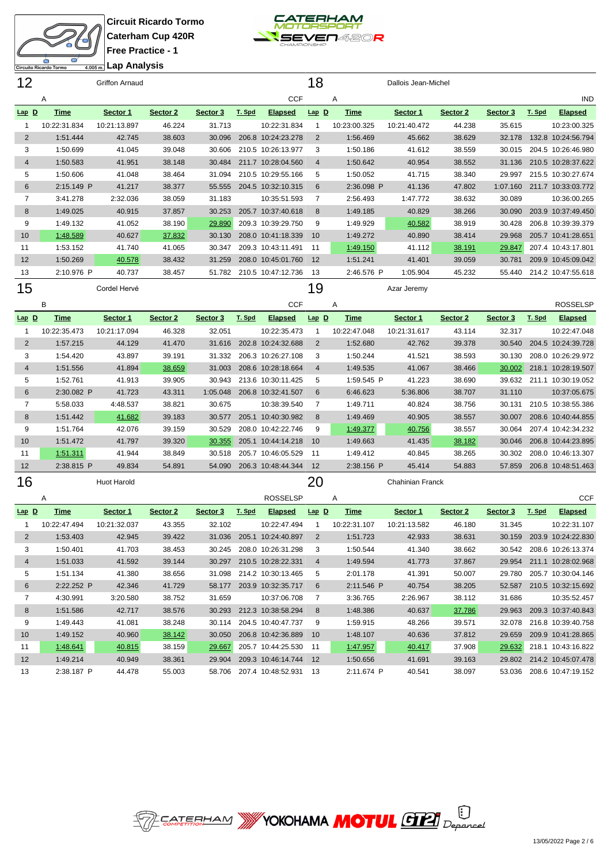

**Circuit Ricardo Tormo Caterham Cup 420R Free Practice - 1**



18 Dallois Jean-Michel

|                        | <b>Free Practice - 1</b> |          |          |        |                    |
|------------------------|--------------------------|----------|----------|--------|--------------------|
| ST.<br>œ<br>ardo Tormo | 4.005m. Lap Analysis     |          |          |        |                    |
|                        | <b>Griffon Arnaud</b>    |          |          |        |                    |
| А                      |                          |          |          |        | <b>CCF</b>         |
| <b>Time</b>            | Sector 1                 | Sector 2 | Sector 3 | T. Spd | <b>Elapsed</b>     |
| 10:22:31.834           | 10:21:13.897             | 46.224   | 31.713   |        | 10:22:31.834       |
| 1:51.444               | 42.745                   | 38.603   | 30.096   |        | 206.8 10:24:23.278 |

|                | Α            |              |          |          |        | <b>CCF</b>         |                | Α            |              |          |          |        | <b>IND</b>         |
|----------------|--------------|--------------|----------|----------|--------|--------------------|----------------|--------------|--------------|----------|----------|--------|--------------------|
| $Lap$ $D$      | <b>Time</b>  | Sector 1     | Sector 2 | Sector 3 | T. Spd | <b>Elapsed</b>     | $Lap$ $D$      | <b>Time</b>  | Sector 1     | Sector 2 | Sector 3 | T. Spd | <b>Elapsed</b>     |
|                | 10:22:31.834 | 10:21:13.897 | 46.224   | 31.713   |        | 10:22:31.834       |                | 10:23:00.325 | 10:21:40.472 | 44.238   | 35.615   |        | 10:23:00.325       |
| 2              | 1:51.444     | 42.745       | 38.603   | 30.096   | 206.8  | 10:24:23.278       | 2              | 1:56.469     | 45.662       | 38.629   | 32.178   | 132.8  | 10:24:56.794       |
| 3              | 1:50.699     | 41.045       | 39.048   | 30.606   |        | 210.5 10:26:13.977 | 3              | 1:50.186     | 41.612       | 38.559   | 30.015   |        | 204.5 10:26:46.980 |
| $\overline{4}$ | 1:50.583     | 41.951       | 38.148   | 30.484   |        | 211.7 10:28:04.560 | $\overline{4}$ | 1:50.642     | 40.954       | 38.552   | 31.136   |        | 210.5 10:28:37.622 |
| 5              | 1:50.606     | 41.048       | 38.464   | 31.094   |        | 210.5 10:29:55.166 | 5              | 1:50.052     | 41.715       | 38.340   | 29.997   |        | 215.5 10:30:27.674 |
| 6              | 2:15.149 P   | 41.217       | 38.377   | 55.555   |        | 204.5 10:32:10.315 | 6              | 2:36.098 P   | 41.136       | 47.802   | 1:07.160 |        | 211.7 10:33:03.772 |
| 7              | 3:41.278     | 2:32.036     | 38.059   | 31.183   |        | 10:35:51.593       | 7              | 2:56.493     | 1:47.772     | 38.632   | 30.089   |        | 10:36:00.265       |
| 8              | 1:49.025     | 40.915       | 37.857   | 30.253   |        | 205.7 10:37:40.618 | 8              | 1:49.185     | 40.829       | 38.266   | 30.090   |        | 203.9 10:37:49.450 |
| 9              | 1:49.132     | 41.052       | 38.190   | 29.890   |        | 209.3 10:39:29.750 | 9              | 1:49.929     | 40.582       | 38.919   | 30.428   |        | 206.8 10:39:39.379 |
| 10             | 1:48.589     | 40.627       | 37.832   | 30.130   |        | 208.0 10:41:18.339 | 10             | 1:49.272     | 40.890       | 38.414   | 29.968   |        | 205.7 10:41:28.651 |
| 11             | 1:53.152     | 41.740       | 41.065   | 30.347   |        | 209.3 10:43:11.491 | -11            | 1:49.150     | 41.112       | 38.191   | 29.847   |        | 207.4 10:43:17.801 |
| 12             | 1:50.269     | 40.578       | 38.432   | 31.259   |        | 208.0 10:45:01.760 | 12             | 1:51.241     | 41.401       | 39.059   | 30.781   |        | 209.9 10:45:09.042 |
| 13             | 2:10.976 P   | 40.737       | 38.457   | 51.782   |        | 210.5 10:47:12.736 | 13             | 2:46.576 P   | 1:05.904     | 45.232   | 55.440   |        | 214.2 10:47:55.618 |
| 15             |              | Cordel Hervé |          |          |        |                    | 19             |              | Azar Jeremy  |          |          |        |                    |
|                | в            |              |          |          |        | <b>CCF</b>         |                | Α            |              |          |          |        | <b>ROSSELSP</b>    |
| $Lap$ D        | Time         | Sector 1     | Sector 2 | Sector 3 | T. Spd | <b>Elapsed</b>     | $Lap$ D        | Time         | Sector 1     | Sector 2 | Sector 3 | T. Spd | <b>Elapsed</b>     |
|                | 10:22:35.473 | 10:21:17.094 | 46.328   | 32.051   |        | 10:22:35.473       |                | 10:22:47.048 | 10:21:31.617 | 43.114   | 32.317   |        | 10:22:47.048       |
| 2              | 1:57.215     | 44.129       | 41.470   | 31.616   | 202.8  | 10:24:32.688       | 2              | 1:52.680     | 42.762       | 39.378   | 30.540   |        | 204.5 10:24:39.728 |
| 3              | 1:54.420     | 43.897       | 39.191   | 31.332   |        | 206.3 10:26:27.108 | 3              | 1:50.244     | 41.521       | 38.593   | 30.130   |        | 208.0 10:26:29.972 |
| 4              | 1:51.556     | 41.894       | 38.659   | 31.003   | 208.6  | 10:28:18.664       | $\Delta$       | 1:49.535     | 41.067       | 38.466   | 30.002   |        | 218.1 10:28:19.507 |

| 16 |            | Huot Harold |        |          |                       | 20 |            | Chahinian Franck |        |        |       |                    |
|----|------------|-------------|--------|----------|-----------------------|----|------------|------------------|--------|--------|-------|--------------------|
| 12 | 2:38.815 P | 49.834      | 54.891 | 54.090   | 206.3 10:48:44.344 12 |    | 2:38.156 P | 45.414           | 54.883 | 57.859 |       | 206.8 10:48:51.463 |
| 11 | 1:51.311   | 41.944      | 38.849 | 30.518   | 205.7 10:46:05.529 11 |    | 1:49.412   | 40.845           | 38.265 | 30.302 |       | 208.0 10:46:13.307 |
| 10 | 1:51.472   | 41.797      | 39.320 | 30.355   | 205.1 10:44:14.218 10 |    | 1:49.663   | 41.435           | 38.182 | 30.046 |       | 206.8 10:44:23.895 |
| 9  | 1:51.764   | 42.076      | 39.159 | 30.529   | 208.0 10:42:22.746    | -9 | 1:49.377   | 40.756           | 38.557 | 30.064 |       | 207.4 10:42:34.232 |
| 8  | 1:51.442   | 41.682      | 39.183 | 30.577   | 205.1 10:40:30.982    | 8  | 1:49.469   | 40.905           | 38.557 | 30.007 |       | 208.6 10:40:44.855 |
|    | 5:58.033   | 4:48.537    | 38.821 | 30.675   | 10:38:39.540          |    | 1:49.711   | 40.824           | 38.756 | 30.131 |       | 210.5 10:38:55.386 |
| 6  | 2:30.082 P | 41.723      | 43.311 | 1:05.048 | 206.8 10:32:41.507    | 6  | 6:46.623   | 5:36.806         | 38.707 | 31.110 |       | 10:37:05.675       |
| 5  | 1:52.761   | 41.913      | 39.905 | 30.943   | 213.6 10:30:11.425    | 5  | 1:59.545 P | 41.223           | 38.690 | 39.632 | 211.1 | 10:30:19.052       |
|    |            |             |        |          |                       |    |            |                  |        |        |       |                    |

|         | Α            |              |          |          |        | <b>ROSSELSP</b>    |         | A            |              |          |          |        | <b>CCF</b>         |
|---------|--------------|--------------|----------|----------|--------|--------------------|---------|--------------|--------------|----------|----------|--------|--------------------|
| $Lap$ D | Time         | Sector 1     | Sector 2 | Sector 3 | T. Spd | <b>Elapsed</b>     | $Lap$ D | Time         | Sector 1     | Sector 2 | Sector 3 | T. Spd | <b>Elapsed</b>     |
|         | 10:22:47.494 | 10:21:32.037 | 43.355   | 32.102   |        | 10:22:47.494       |         | 10:22:31.107 | 10:21:13.582 | 46.180   | 31.345   |        | 10:22:31.107       |
| 2       | 1:53.403     | 42.945       | 39.422   | 31.036   | 205.1  | 10:24:40.897       | 2       | 1:51.723     | 42.933       | 38.631   | 30.159   |        | 203.9 10:24:22.830 |
| 3       | 1:50.401     | 41.703       | 38.453   | 30.245   |        | 208.0 10:26:31.298 | 3       | 1:50.544     | 41.340       | 38.662   | 30.542   |        | 208.6 10:26:13.374 |
| 4       | 1:51.033     | 41.592       | 39.144   | 30.297   |        | 210.5 10:28:22.331 | 4       | 1:49.594     | 41.773       | 37.867   | 29.954   | 211.1  | 10:28:02.968       |
| 5       | 1:51.134     | 41.380       | 38.656   | 31.098   |        | 214.2 10:30:13.465 | 5       | 2:01.178     | 41.391       | 50.007   | 29.780   |        | 205.7 10:30:04.146 |
| 6       | 2:22.252 P   | 42.346       | 41.729   | 58.177   |        | 203.9 10:32:35.717 | 6       | 2:11.546 P   | 40.754       | 38.205   | 52.587   |        | 210.5 10:32:15.692 |
|         | 4:30.991     | 3:20.580     | 38.752   | 31.659   |        | 10:37:06.708       | 7       | 3:36.765     | 2:26.967     | 38.112   | 31.686   |        | 10:35:52.457       |
| 8       | 1:51.586     | 42.717       | 38.576   | 30.293   |        | 212.3 10:38:58.294 | 8       | 1:48.386     | 40.637       | 37.786   | 29.963   |        | 209.3 10:37:40.843 |
| 9       | 1:49.443     | 41.081       | 38.248   | 30.114   |        | 204.5 10:40:47.737 | 9       | 1:59.915     | 48.266       | 39.571   | 32.078   |        | 216.8 10:39:40.758 |
| 10      | 1:49.152     | 40.960       | 38.142   | 30.050   |        | 206.8 10:42:36.889 | 10      | 1:48.107     | 40.636       | 37.812   | 29.659   |        | 209.9 10:41:28.865 |
| 11      | 1:48.641     | 40.815       | 38.159   | 29.667   | 205.7  | 10:44:25.530       | -11     | 1:47.957     | 40.417       | 37.908   | 29.632   |        | 218.1 10:43:16.822 |
| 12      | 1:49.214     | 40.949       | 38.361   | 29.904   |        | 209.3 10:46:14.744 | 12      | 1:50.656     | 41.691       | 39.163   | 29.802   |        | 214.2 10:45:07.478 |
| 13      | 2:38.187 P   | 44.478       | 55.003   | 58.706   |        | 207.4 10:48:52.931 | 13      | 2:11.674 P   | 40.541       | 38.097   | 53.036   |        | 208.6 10:47:19.152 |

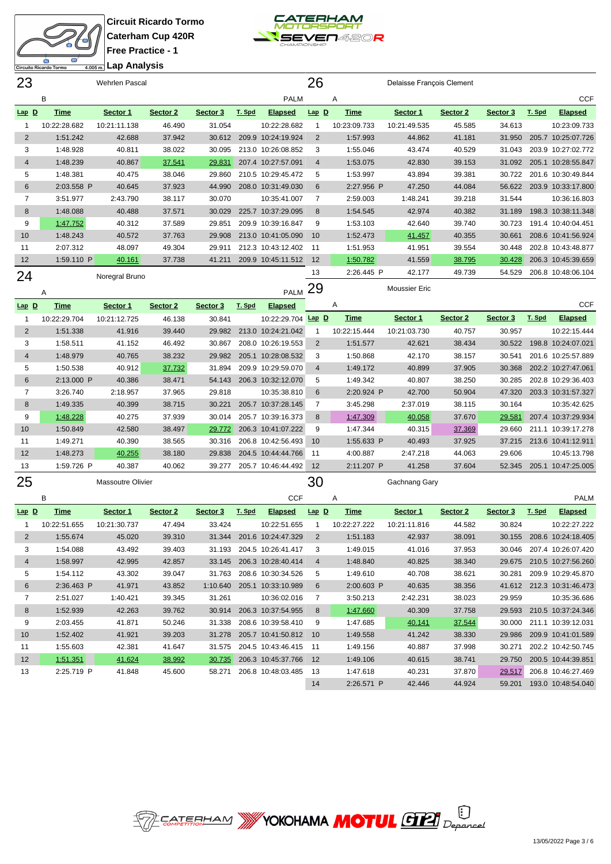



**Lap Analysis**

| Circuito Ricardo Tormo<br>4.005 m.j <b>cup Analysis</b><br>23<br><b>Wehrlen Pascal</b> |              |                   |          |          |        |                    | 26             |              |                           |                  |          |        |                                    |
|----------------------------------------------------------------------------------------|--------------|-------------------|----------|----------|--------|--------------------|----------------|--------------|---------------------------|------------------|----------|--------|------------------------------------|
|                                                                                        |              |                   |          |          |        |                    |                |              | Delaisse François Clement |                  |          |        |                                    |
|                                                                                        | B            |                   |          |          |        | <b>PALM</b>        |                | Α            |                           |                  |          |        | <b>CCF</b>                         |
| $Lap$ D                                                                                | <b>Time</b>  | Sector 1          | Sector 2 | Sector 3 | T. Spd | <b>Elapsed</b>     | $Lap$ $D$      | <b>Time</b>  | Sector 1                  | Sector 2         | Sector 3 | T. Spd | <b>Elapsed</b>                     |
| 1                                                                                      | 10:22:28.682 | 10:21:11.138      | 46.490   | 31.054   |        | 10:22:28.682       | $\mathbf{1}$   | 10:23:09.733 | 10:21:49.535              | 45.585           | 34.613   |        | 10:23:09.733                       |
| $\overline{2}$                                                                         | 1:51.242     | 42.688            | 37.942   | 30.612   |        | 209.9 10:24:19.924 | $\overline{2}$ | 1:57.993     | 44.862                    | 41.181           | 31.950   |        | 205.7 10:25:07.726                 |
| 3                                                                                      | 1:48.928     | 40.811            | 38.022   | 30.095   |        | 213.0 10:26:08.852 | 3              | 1:55.046     | 43.474                    | 40.529           | 31.043   |        | 203.9 10:27:02.772                 |
| $\overline{4}$                                                                         | 1:48.239     | 40.867            | 37.541   | 29.831   |        | 207.4 10:27:57.091 | $\overline{4}$ | 1:53.075     | 42.830                    | 39.153           | 31.092   |        | 205.1 10:28:55.847                 |
| 5                                                                                      | 1:48.381     | 40.475            | 38.046   | 29.860   |        | 210.5 10:29:45.472 | 5              | 1:53.997     | 43.894                    | 39.381           | 30.722   |        | 201.6 10:30:49.844                 |
| 6                                                                                      | 2:03.558 P   | 40.645            | 37.923   | 44.990   |        | 208.0 10:31:49.030 | 6              | 2:27.956 P   | 47.250                    | 44.084           | 56.622   |        | 203.9 10:33:17.800                 |
| $\overline{7}$                                                                         | 3:51.977     | 2:43.790          | 38.117   | 30.070   |        | 10:35:41.007       | 7              | 2:59.003     | 1:48.241                  | 39.218           | 31.544   |        | 10:36:16.803                       |
| 8                                                                                      | 1:48.088     | 40.488            | 37.571   | 30.029   |        | 225.7 10:37:29.095 | 8              | 1:54.545     | 42.974                    | 40.382           | 31.189   |        | 198.3 10:38:11.348                 |
| 9                                                                                      | 1:47.752     | 40.312            | 37.589   | 29.851   |        | 209.9 10:39:16.847 | 9              | 1:53.103     | 42.640                    | 39.740           | 30.723   |        | 191.4 10:40:04.451                 |
| 10                                                                                     | 1:48.243     | 40.572            | 37.763   | 29.908   |        | 213.0 10:41:05.090 | 10             | 1:52.473     | 41.457                    | 40.355           | 30.661   |        | 208.6 10:41:56.924                 |
| 11                                                                                     | 2:07.312     | 48.097            | 49.304   | 29.911   |        | 212.3 10:43:12.402 | 11             | 1:51.953     | 41.951                    | 39.554           | 30.448   |        | 202.8 10:43:48.877                 |
| 12                                                                                     | 1:59.110 P   | 40.161            | 37.738   | 41.211   |        | 209.9 10:45:11.512 | 12             | 1:50.782     | 41.559                    | 38.795           | 30.428   |        | 206.3 10:45:39.659                 |
| 24                                                                                     |              | Noregral Bruno    |          |          |        |                    | 13             | 2:26.445 P   | 42.177                    | 49.739           | 54.529   |        | 206.8 10:48:06.104                 |
|                                                                                        | Α            |                   |          |          |        | <b>PALM</b>        | 29             |              | Moussier Eric             |                  |          |        |                                    |
| $Lap$ $D$                                                                              | <b>Time</b>  | Sector 1          | Sector 2 | Sector 3 | T. Spd | <b>Elapsed</b>     |                | Α            |                           |                  |          |        | <b>CCF</b>                         |
| $\mathbf{1}$                                                                           | 10:22:29.704 | 10:21:12.725      | 46.138   | 30.841   |        | 10:22:29.704 Lap D |                | <b>Time</b>  | Sector 1                  | Sector 2         | Sector 3 | T. Spd | <b>Elapsed</b>                     |
| $\overline{2}$                                                                         | 1:51.338     | 41.916            | 39.440   | 29.982   |        | 213.0 10:24:21.042 | $\mathbf{1}$   | 10:22:15.444 | 10:21:03.730              | 40.757           | 30.957   |        | 10:22:15.444                       |
| 3                                                                                      | 1:58.511     | 41.152            | 46.492   | 30.867   |        | 208.0 10:26:19.553 | $\overline{2}$ | 1:51.577     | 42.621                    | 38.434           | 30.522   |        | 198.8 10:24:07.021                 |
| $\overline{4}$                                                                         | 1:48.979     | 40.765            | 38.232   | 29.982   |        | 205.1 10:28:08.532 | 3              | 1:50.868     | 42.170                    | 38.157           | 30.541   |        | 201.6 10:25:57.889                 |
| 5                                                                                      | 1:50.538     | 40.912            | 37.732   | 31.894   |        | 209.9 10:29:59.070 | $\overline{4}$ | 1:49.172     | 40.899                    | 37.905           | 30.368   |        | 202.2 10:27:47.061                 |
| 6                                                                                      | 2:13.000 P   | 40.386            | 38.471   | 54.143   |        | 206.3 10:32:12.070 | 5              | 1:49.342     | 40.807                    | 38.250           | 30.285   |        | 202.8 10:29:36.403                 |
| $\overline{7}$                                                                         | 3:26.740     | 2:18.957          | 37.965   | 29.818   |        | 10:35:38.810       | 6              | 2:20.924 P   | 42.700                    | 50.904           | 47.320   |        | 203.3 10:31:57.327                 |
| 8                                                                                      | 1:49.335     | 40.399            | 38.715   | 30.221   |        | 205.7 10:37:28.145 | 7              | 3:45.298     | 2:37.019                  | 38.115           | 30.164   |        | 10:35:42.625                       |
| 9                                                                                      | 1:48.228     | 40.275            | 37.939   | 30.014   |        | 205.7 10:39:16.373 | 8              | 1:47.309     | 40.058                    | 37.670           | 29.581   |        | 207.4 10:37:29.934                 |
| 10                                                                                     | 1:50.849     | 42.580            | 38.497   | 29.772   |        | 206.3 10:41:07.222 | 9              | 1:47.344     | 40.315                    |                  | 29.660   |        | 211.1 10:39:17.278                 |
| 11                                                                                     | 1:49.271     | 40.390            | 38.565   | 30.316   |        | 206.8 10:42:56.493 | 10             | 1:55.633 P   | 40.493                    | 37.369<br>37.925 | 37.215   |        |                                    |
| 12                                                                                     | 1:48.273     | 40.255            | 38.180   | 29.838   |        | 204.5 10:44:44.766 | 11             | 4:00.887     | 2:47.218                  | 44.063           | 29.606   |        | 213.6 10:41:12.911<br>10:45:13.798 |
| 13                                                                                     | 1:59.726 P   | 40.387            | 40.062   | 39.277   |        | 205.7 10:46:44.492 | 12             | 2:11.207 P   | 41.258                    | 37.604           | 52.345   |        | 205.1 10:47:25.005                 |
|                                                                                        |              |                   |          |          |        |                    |                |              |                           |                  |          |        |                                    |
| 25                                                                                     |              | Massoutre Olivier |          |          |        |                    | 30             |              | Gachnang Gary             |                  |          |        |                                    |
|                                                                                        | B            |                   |          |          |        | <b>CCF</b>         |                | Α            |                           |                  |          |        | <b>PALM</b>                        |
| $Lap$ $D$                                                                              | Time         | Sector 1          | Sector 2 | Sector 3 | T. Spd | <b>Elapsed</b>     | $Lap$ D        | Time         | Sector 1                  | Sector 2         | Sector 3 | T. Spd | <b>Elapsed</b>                     |
| $\mathbf{1}$                                                                           | 10:22:51.655 | 10:21:30.737      | 47.494   | 33.424   |        | 10:22:51.655       | $\mathbf{1}$   | 10:22:27.222 | 10:21:11.816              | 44.582           | 30.824   |        | 10:22:27.222                       |
| $\overline{2}$                                                                         | 1:55.674     | 45.020            | 39.310   | 31.344   |        | 201.6 10:24:47.329 | $\overline{2}$ | 1:51.183     | 42.937                    | 38.091           |          |        | 30.155 208.6 10:24:18.405          |
| 3                                                                                      | 1:54.088     | 43.492            | 39.403   | 31.193   |        | 204.5 10:26:41.417 | 3              | 1:49.015     | 41.016                    | 37.953           | 30.046   |        | 207.4 10:26:07.420                 |
| 4                                                                                      | 1:58.997     | 42.995            | 42.857   | 33.145   |        | 206.3 10:28:40.414 | 4              | 1:48.840     | 40.825                    | 38.340           | 29.675   |        | 210.5 10:27:56.260                 |
| 5                                                                                      | 1:54.112     | 43.302            | 39.047   | 31.763   |        | 208.6 10:30:34.526 | 5              | 1:49.610     | 40.708                    | 38.621           | 30.281   |        | 209.9 10:29:45.870                 |
| 6                                                                                      | 2:36.463 P   | 41.971            | 43.852   | 1:10.640 |        | 205.1 10:33:10.989 | 6              | 2:00.603 P   | 40.635                    | 38.356           | 41.612   |        | 212.3 10:31:46.473                 |
| 7                                                                                      | 2:51.027     | 1:40.421          | 39.345   | 31.261   |        | 10:36:02.016       | 7              | 3:50.213     | 2:42.231                  | 38.023           | 29.959   |        | 10:35:36.686                       |
| 8                                                                                      | 1:52.939     | 42.263            | 39.762   | 30.914   |        | 206.3 10:37:54.955 | 8              | 1:47.660     | 40.309                    | 37.758           | 29.593   |        | 210.5 10:37:24.346                 |
| 9                                                                                      | 2:03.455     | 41.871            | 50.246   | 31.338   |        | 208.6 10:39:58.410 | 9              | 1:47.685     | <u>40.141</u>             | 37.544           | 30.000   |        | 211.1 10:39:12.031                 |
| 10                                                                                     | 1:52.402     | 41.921            | 39.203   | 31.278   |        | 205.7 10:41:50.812 | 10             | 1:49.558     | 41.242                    | 38.330           | 29.986   |        | 209.9 10:41:01.589                 |
| 11                                                                                     | 1:55.603     | 42.381            | 41.647   | 31.575   |        | 204.5 10:43:46.415 | 11             | 1:49.156     | 40.887                    | 37.998           | 30.271   |        | 202.2 10:42:50.745                 |
| 12                                                                                     | 1:51.351     | 41.624            | 38.992   | 30.735   |        | 206.3 10:45:37.766 | 12             | 1:49.106     | 40.615                    | 38.741           | 29.750   |        | 200.5 10:44:39.851                 |
| 13                                                                                     | 2:25.719 P   | 41.848            | 45.600   | 58.271   |        | 206.8 10:48:03.485 | - 13           | 1:47.618     | 40.231                    | 37.870           | 29.517   |        | 206.8 10:46:27.469                 |
|                                                                                        |              |                   |          |          |        |                    | 14             | 2:26.571 P   | 42.446                    | 44.924           |          |        | 59.201 193.0 10:48:54.040          |

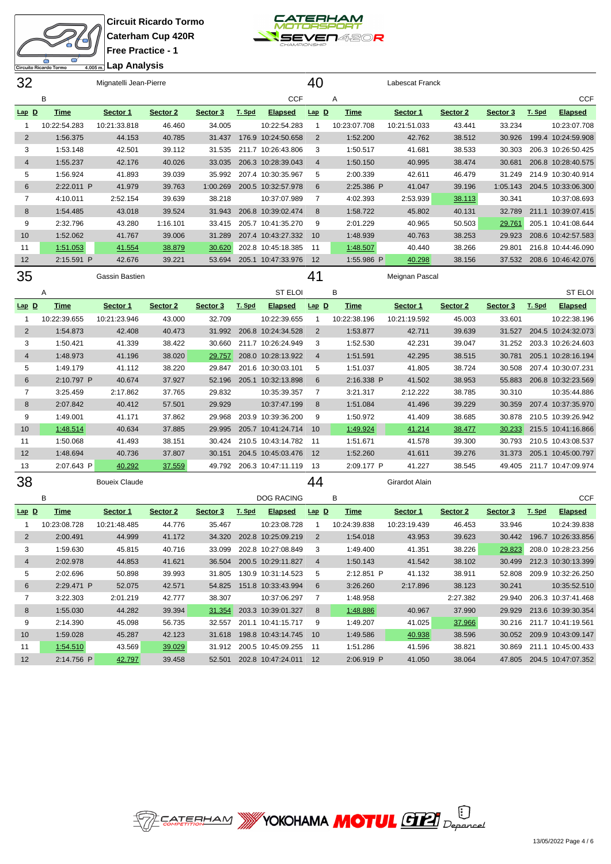



**Lap Analysis**

|                | Circuito Ricardo Tormo<br>4.005 m.  ∟aµ Anarysis<br>32<br>Mignatelli Jean-Pierre |                      |          |          |        |                              | 40<br>Labescat Franck |              |  |                |          |          |        |                           |
|----------------|----------------------------------------------------------------------------------|----------------------|----------|----------|--------|------------------------------|-----------------------|--------------|--|----------------|----------|----------|--------|---------------------------|
|                |                                                                                  |                      |          |          |        |                              |                       |              |  |                |          |          |        |                           |
|                | B                                                                                |                      |          |          |        | <b>CCF</b>                   |                       | Α            |  |                |          |          |        | <b>CCF</b>                |
| $Lap$ $D$      | <b>Time</b>                                                                      | Sector 1             | Sector 2 | Sector 3 | T. Spd | <b>Elapsed</b>               | $Lap$ D               | <b>Time</b>  |  | Sector 1       | Sector 2 | Sector 3 | T. Spd | <b>Elapsed</b>            |
| $\mathbf{1}$   | 10:22:54.283                                                                     | 10:21:33.818         | 46.460   | 34.005   |        | 10:22:54.283                 | $\mathbf{1}$          | 10:23:07.708 |  | 10:21:51.033   | 43.441   | 33.234   |        | 10:23:07.708              |
| $\overline{2}$ | 1:56.375                                                                         | 44.153               | 40.785   | 31.437   |        | 176.9 10:24:50.658           | 2                     | 1:52.200     |  | 42.762         | 38.512   | 30.926   |        | 199.4 10:24:59.908        |
| 3              | 1:53.148                                                                         | 42.501               | 39.112   | 31.535   |        | 211.7 10:26:43.806           | 3                     | 1:50.517     |  | 41.681         | 38.533   | 30.303   |        | 206.3 10:26:50.425        |
| 4              | 1:55.237                                                                         | 42.176               | 40.026   | 33.035   |        | 206.3 10:28:39.043           | $\overline{4}$        | 1:50.150     |  | 40.995         | 38.474   | 30.681   |        | 206.8 10:28:40.575        |
| 5              | 1:56.924                                                                         | 41.893               | 39.039   | 35.992   |        | 207.4 10:30:35.967           | 5                     | 2:00.339     |  | 42.611         | 46.479   | 31.249   |        | 214.9 10:30:40.914        |
| 6              | 2:22.011 P                                                                       | 41.979               | 39.763   | 1:00.269 |        | 200.5 10:32:57.978           | 6                     | 2:25.386 P   |  | 41.047         | 39.196   | 1:05.143 |        | 204.5 10:33:06.300        |
| 7              | 4:10.011                                                                         | 2:52.154             | 39.639   | 38.218   |        | 10:37:07.989                 | $\overline{7}$        | 4:02.393     |  | 2:53.939       | 38.113   | 30.341   |        | 10:37:08.693              |
| 8              | 1:54.485                                                                         | 43.018               | 39.524   | 31.943   |        | 206.8 10:39:02.474           | 8                     | 1:58.722     |  | 45.802         | 40.131   | 32.789   |        | 211.1 10:39:07.415        |
| 9              | 2:32.796                                                                         | 43.280               | 1:16.101 | 33.415   |        | 205.7 10:41:35.270           | 9                     | 2:01.229     |  | 40.965         | 50.503   | 29.761   |        | 205.1 10:41:08.644        |
| 10             | 1:52.062                                                                         | 41.767               | 39.006   | 31.289   |        | 207.4 10:43:27.332           | 10                    | 1:48.939     |  | 40.763         | 38.253   | 29.923   |        | 208.6 10:42:57.583        |
| 11             | 1:51.053                                                                         | 41.554               | 38.879   | 30.620   |        | 202.8 10:45:18.385           | 11                    | 1:48.507     |  | 40.440         | 38.266   | 29.801   |        | 216.8 10:44:46.090        |
| 12             | 2:15.591 P                                                                       | 42.676               | 39.221   | 53.694   |        | 205.1 10:47:33.976           | 12                    | 1:55.986 P   |  | 40.298         | 38.156   | 37.532   |        | 208.6 10:46:42.076        |
| 35             |                                                                                  | Gassin Bastien       |          |          |        |                              | 41                    |              |  | Meignan Pascal |          |          |        |                           |
|                | Α                                                                                |                      |          |          |        | <b>ST ELOI</b>               |                       | B            |  |                |          |          |        | <b>ST ELOI</b>            |
| $Lap$ $D$      | <b>Time</b>                                                                      | Sector 1             | Sector 2 | Sector 3 | T. Spd | <b>Elapsed</b>               | $Lap$ $D$             | <b>Time</b>  |  | Sector 1       | Sector 2 | Sector 3 | T. Spd | <b>Elapsed</b>            |
| 1              | 10:22:39.655                                                                     | 10:21:23.946         | 43.000   | 32.709   |        | 10:22:39.655                 | -1                    | 10:22:38.196 |  | 10:21:19.592   | 45.003   | 33.601   |        | 10:22:38.196              |
| 2              | 1:54.873                                                                         | 42.408               | 40.473   | 31.992   |        | 206.8 10:24:34.528           | 2                     | 1:53.877     |  | 42.711         | 39.639   | 31.527   |        | 204.5 10:24:32.073        |
| 3              | 1:50.421                                                                         | 41.339               | 38.422   | 30.660   |        | 211.7 10:26:24.949           | 3                     | 1:52.530     |  | 42.231         | 39.047   | 31.252   |        | 203.3 10:26:24.603        |
| 4              | 1:48.973                                                                         | 41.196               | 38.020   | 29.757   |        | 208.0 10:28:13.922           | $\overline{4}$        | 1:51.591     |  | 42.295         | 38.515   | 30.781   |        | 205.1 10:28:16.194        |
| 5              | 1:49.179                                                                         | 41.112               | 38.220   | 29.847   |        | 201.6 10:30:03.101           | 5                     | 1:51.037     |  | 41.805         | 38.724   | 30.508   |        | 207.4 10:30:07.231        |
| 6              | 2:10.797 P                                                                       | 40.674               | 37.927   | 52.196   |        | 205.1 10:32:13.898           | 6                     | 2:16.338 P   |  | 41.502         | 38.953   | 55.883   |        | 206.8 10:32:23.569        |
| $\overline{7}$ | 3:25.459                                                                         | 2:17.862             | 37.765   | 29.832   |        | 10:35:39.357                 | 7                     | 3:21.317     |  | 2:12.222       | 38.785   | 30.310   |        | 10:35:44.886              |
| 8              | 2:07.842                                                                         | 40.412               | 57.501   | 29.929   |        | 10:37:47.199                 | 8                     | 1:51.084     |  | 41.496         | 39.229   | 30.359   |        | 207.4 10:37:35.970        |
| 9              | 1:49.001                                                                         | 41.171               | 37.862   | 29.968   |        | 203.9 10:39:36.200           | 9                     | 1:50.972     |  | 41.409         | 38.685   | 30.878   |        | 210.5 10:39:26.942        |
| 10             | 1:48.514                                                                         | 40.634               | 37.885   | 29.995   |        | 205.7 10:41:24.714           | 10                    | 1:49.924     |  | 41.214         | 38.477   | 30.233   |        | 215.5 10:41:16.866        |
| 11             | 1:50.068                                                                         | 41.493               | 38.151   | 30.424   |        | 210.5 10:43:14.782           | -11                   | 1:51.671     |  | 41.578         | 39.300   | 30.793   |        | 210.5 10:43:08.537        |
| 12             | 1:48.694                                                                         | 40.736               | 37.807   | 30.151   |        | 204.5 10:45:03.476           | 12                    | 1:52.260     |  | 41.611         | 39.276   | 31.373   |        | 205.1 10:45:00.797        |
| 13             | 2:07.643 P                                                                       | 40.292               | 37.559   | 49.792   |        | 206.3 10:47:11.119           | -13                   | 2:09.177 P   |  | 41.227         | 38.545   | 49.405   |        | 211.7 10:47:09.974        |
| 38             |                                                                                  | <b>Boueix Claude</b> |          |          |        |                              | 44                    |              |  | Girardot Alain |          |          |        |                           |
|                | В                                                                                |                      |          |          |        | DOG RACING                   |                       | в            |  |                |          |          |        | <b>CCF</b>                |
| $Lap$ D        | <b>Time</b>                                                                      | Sector 1             | Sector 2 | Sector 3 | T. Spd | <b>Elapsed</b>               | $Lap$ $D$             | <b>Time</b>  |  | Sector 1       | Sector 2 | Sector 3 | T. Spd | <b>Elapsed</b>            |
| 1              | 10:23:08.728                                                                     | 10:21:48.485         | 44.776   | 35.467   |        | 10:23:08.728                 | 1                     | 10:24:39.838 |  | 10:23:19.439   | 46.453   | 33.946   |        | 10:24:39.838              |
| $\overline{2}$ | 2:00.491                                                                         | 44.999               | 41.172   |          |        | 34.320 202.8 10:25:09.219    | $\overline{2}$        | 1:54.018     |  | 43.953         | 39.623   |          |        | 30.442 196.7 10:26:33.856 |
| 3              | 1:59.630                                                                         | 45.815               | 40.716   | 33.099   |        | 202.8 10:27:08.849           | 3                     | 1:49.400     |  | 41.351         | 38.226   | 29.823   |        | 208.0 10:28:23.256        |
| 4              | 2:02.978                                                                         | 44.853               | 41.621   | 36.504   |        | 200.5 10:29:11.827           | $\overline{4}$        | 1:50.143     |  | 41.542         | 38.102   | 30.499   |        | 212.3 10:30:13.399        |
| 5              | 2:02.696                                                                         | 50.898               | 39.993   | 31.805   |        | 130.9 10:31:14.523           | 5                     | 2:12.851 P   |  | 41.132         | 38.911   |          |        | 52.808 209.9 10:32:26.250 |
| 6              | 2:29.471 P                                                                       | 52.075               | 42.571   | 54.825   |        | 151.8 10:33:43.994           | 6                     | 3:26.260     |  | 2:17.896       | 38.123   | 30.241   |        | 10:35:52.510              |
| $\overline{7}$ | 3:22.303                                                                         | 2:01.219             | 42.777   | 38.307   |        | 10:37:06.297                 | 7                     | 1:48.958     |  |                | 2:27.382 | 29.940   |        | 206.3 10:37:41.468        |
| 8              | 1:55.030                                                                         | 44.282               | 39.394   | 31.354   |        | 203.3 10:39:01.327           | 8                     | 1:48.886     |  | 40.967         | 37.990   | 29.929   |        | 213.6 10:39:30.354        |
| 9              | 2:14.390                                                                         | 45.098               | 56.735   | 32.557   |        | 201.1 10:41:15.717           | - 9                   | 1:49.207     |  | 41.025         | 37.966   |          |        | 30.216 211.7 10:41:19.561 |
| 10             | 1:59.028                                                                         | 45.287               | 42.123   |          |        | 31.618 198.8 10:43:14.745 10 |                       | 1:49.586     |  | 40.938         | 38.596   |          |        | 30.052 209.9 10:43:09.147 |
| 11             | 1:54.510                                                                         | 43.569               | 39.029   |          |        | 31.912 200.5 10:45:09.255 11 |                       | 1:51.286     |  | 41.596         | 38.821   |          |        | 30.869 211.1 10:45:00.433 |
| 12             | 2:14.756 P                                                                       | 42.797               | 39.458   |          |        | 52.501 202.8 10:47:24.011 12 |                       | 2:06.919 P   |  | 41.050         | 38.064   |          |        | 47.805 204.5 10:47:07.352 |

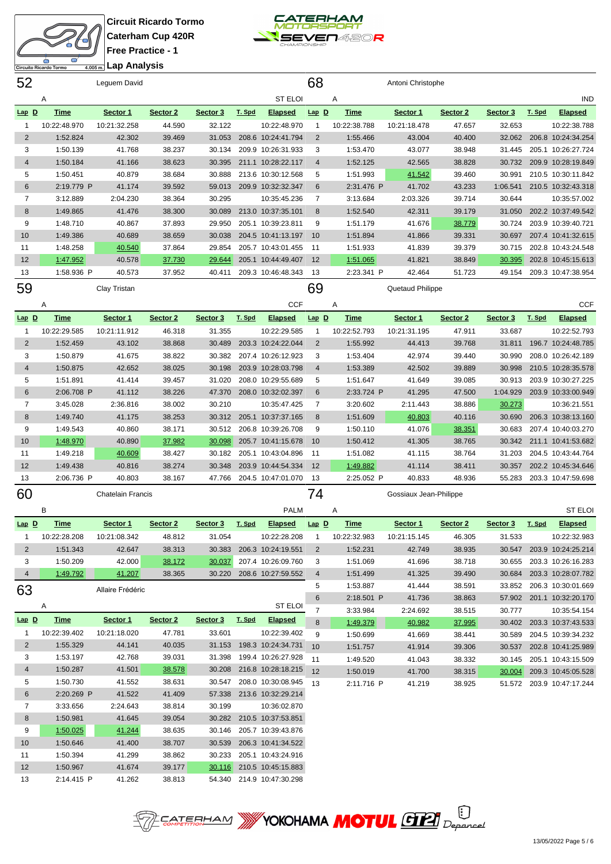



|                | SD<br>Ф<br>Circuito Ricardo Tormo | 4.005m Lap Analysis      |                  |                  |        |                                          |                     |                        |                        |                  |                  |        |                                          |
|----------------|-----------------------------------|--------------------------|------------------|------------------|--------|------------------------------------------|---------------------|------------------------|------------------------|------------------|------------------|--------|------------------------------------------|
| 52             |                                   | Leguem David             |                  |                  |        |                                          | 68                  |                        | Antoni Christophe      |                  |                  |        |                                          |
|                | Α                                 |                          |                  |                  |        | <b>ST ELOI</b>                           |                     | Α                      |                        |                  |                  |        | IND                                      |
| Lap D          | <b>Time</b>                       | Sector 1                 | Sector 2         | Sector 3         | T. Spd | <b>Elapsed</b>                           | $Lap$ $D$           | <b>Time</b>            | Sector 1               | Sector 2         | Sector 3         | T. Spd | <b>Elapsed</b>                           |
| 1              | 10:22:48.970                      | 10:21:32.258             | 44.590           | 32.122           |        | 10:22:48.970                             | -1                  | 10:22:38.788           | 10:21:18.478           | 47.657           | 32.653           |        | 10:22:38.788                             |
| $\overline{2}$ | 1:52.824                          | 42.302                   | 39.469           | 31.053           |        | 208.6 10:24:41.794                       | $\overline{2}$      | 1:55.466               | 43.004                 | 40.400           | 32.062           |        | 206.8 10:24:34.254                       |
| 3              | 1:50.139                          | 41.768                   | 38.237           | 30.134           |        | 209.9 10:26:31.933                       | 3                   | 1:53.470               | 43.077                 | 38.948           | 31.445           |        | 205.1 10:26:27.724                       |
| $\overline{4}$ | 1:50.184                          | 41.166                   | 38.623           | 30.395           |        | 211.1 10:28:22.117                       | $\overline{4}$      | 1:52.125               | 42.565                 | 38.828           | 30.732           |        | 209.9 10:28:19.849                       |
| 5              | 1:50.451                          | 40.879                   | 38.684           | 30.888           |        | 213.6 10:30:12.568                       | 5                   | 1:51.993               | 41.542                 | 39.460           | 30.991           |        | 210.5 10:30:11.842                       |
| 6              | 2:19.779 P                        | 41.174                   | 39.592           | 59.013           |        | 209.9 10:32:32.347                       | 6                   | 2:31.476 P             | 41.702                 | 43.233           | 1:06.541         |        | 210.5 10:32:43.318                       |
| 7              | 3:12.889                          | 2:04.230                 | 38.364           | 30.295           |        | 10:35:45.236                             | $\overline{7}$      | 3:13.684               | 2:03.326               | 39.714           | 30.644           |        | 10:35:57.002                             |
| 8              | 1:49.865                          | 41.476                   | 38.300           | 30.089           |        | 213.0 10:37:35.101                       | 8                   | 1:52.540               | 42.311                 | 39.179           | 31.050           |        | 202.2 10:37:49.542                       |
| 9              | 1:48.710                          | 40.867                   | 37.893           | 29.950           |        | 205.1 10:39:23.811                       | 9                   | 1:51.179               | 41.676                 | 38.779           | 30.724           |        | 203.9 10:39:40.721                       |
| 10             | 1:49.386                          | 40.689                   | 38.659           | 30.038           |        | 204.5 10:41:13.197                       | 10                  | 1:51.894               | 41.866                 | 39.331           | 30.697           |        | 207.4 10:41:32.615                       |
| 11             | 1:48.258                          | 40.540                   | 37.864           | 29.854           |        | 205.7 10:43:01.455                       | 11                  | 1:51.933               | 41.839                 | 39.379           | 30.715           |        | 202.8 10:43:24.548                       |
| 12             | 1:47.952                          | 40.578                   | 37.730           | 29.644           |        | 205.1 10:44:49.407                       | 12                  | 1:51.065               | 41.821                 | 38.849           | 30.395           |        | 202.8 10:45:15.613                       |
| 13             | 1:58.936 P                        | 40.573                   | 37.952           | 40.411           |        | 209.3 10:46:48.343                       | 13                  | 2:23.341 P             | 42.464                 | 51.723           | 49.154           |        | 209.3 10:47:38.954                       |
| 59             |                                   | Clay Tristan             |                  |                  |        |                                          | 69                  |                        | Quetaud Philippe       |                  |                  |        |                                          |
|                | Α                                 |                          |                  |                  |        | <b>CCF</b>                               |                     | Α                      |                        |                  |                  |        | <b>CCF</b>                               |
| $Lap$ $D$      | <b>Time</b>                       | Sector 1                 | Sector 2         | Sector 3         | T. Spd | Elapsed                                  | $Lap$ $D$           | <b>Time</b>            | Sector 1               | Sector 2         | Sector 3         | T. Spd | <b>Elapsed</b>                           |
| 1              | 10:22:29.585                      | 10:21:11.912             | 46.318           | 31.355           |        | 10:22:29.585                             | -1                  | 10:22:52.793           | 10:21:31.195           | 47.911           | 33.687           |        | 10:22:52.793                             |
| $\overline{2}$ | 1:52.459                          | 43.102                   | 38.868           | 30.489           |        | 203.3 10:24:22.044                       | 2                   | 1:55.992               | 44.413                 | 39.768           | 31.811           |        | 196.7 10:24:48.785                       |
| 3              | 1:50.879                          | 41.675                   | 38.822           | 30.382           |        | 207.4 10:26:12.923                       | 3                   | 1:53.404               | 42.974                 | 39.440           | 30.990           |        | 208.0 10:26:42.189                       |
| $\overline{4}$ | 1:50.875                          | 42.652                   | 38.025           | 30.198           |        | 203.9 10:28:03.798                       | $\overline{4}$      | 1:53.389               | 42.502                 | 39.889           | 30.998           |        | 210.5 10:28:35.578                       |
| 5              | 1:51.891                          | 41.414                   | 39.457           | 31.020           |        | 208.0 10:29:55.689                       | 5                   | 1:51.647               | 41.649                 | 39.085           | 30.913           |        | 203.9 10:30:27.225                       |
| 6              | 2:06.708 P                        | 41.112                   | 38.226           | 47.370           |        | 208.0 10:32:02.397                       | 6                   | 2:33.724 P             | 41.295                 | 47.500           | 1:04.929         |        | 203.9 10:33:00.949                       |
| 7              | 3:45.028                          | 2:36.816                 | 38.002           | 30.210           |        | 10:35:47.425                             | 7                   | 3:20.602               | 2:11.443               | 38.886           | 30.273           |        | 10:36:21.551                             |
| 8              | 1:49.740                          | 41.175                   | 38.253           | 30.312           |        | 205.1 10:37:37.165                       | 8                   | 1:51.609               | 40.803                 | 40.116           | 30.690           |        | 206.3 10:38:13.160                       |
| 9              | 1:49.543                          | 40.860                   | 38.171           | 30.512           |        | 206.8 10:39:26.708                       | 9                   | 1:50.110               | 41.076                 | 38.351           | 30.683           |        | 207.4 10:40:03.270                       |
| 10             | 1:48.970                          | 40.890                   | 37.982           | 30.098           |        | 205.7 10:41:15.678                       | 10                  | 1:50.412               | 41.305                 | 38.765           | 30.342           |        | 211.1 10:41:53.682                       |
| 11<br>12       | 1:49.218<br>1:49.438              | 40.609<br>40.816         | 38.427<br>38.274 | 30.182<br>30.348 |        | 205.1 10:43:04.896<br>203.9 10:44:54.334 | 11<br>12            | 1:51.082<br>1:49.882   | 41.115<br>41.114       | 38.764<br>38.411 | 31.203<br>30.357 |        | 204.5 10:43:44.764<br>202.2 10:45:34.646 |
| 13             | 2:06.736 P                        | 40.803                   | 38.167           | 47.766           |        | 204.5 10:47:01.070                       | 13                  | 2:25.052 P             | 40.833                 | 48.936           | 55.283           |        | 203.3 10:47:59.698                       |
|                |                                   |                          |                  |                  |        |                                          |                     |                        |                        |                  |                  |        |                                          |
| 60             |                                   | <b>Chatelain Francis</b> |                  |                  |        |                                          | 74                  |                        | Gossiaux Jean-Philippe |                  |                  |        |                                          |
|                | в                                 |                          |                  |                  |        | <b>PALM</b>                              |                     | Α                      |                        |                  |                  |        | <b>ST ELOI</b>                           |
| <u>Lap D</u>   | <b>Time</b>                       | Sector 1                 | Sector 2         | Sector 3         | T. Spd | <b>Elapsed</b>                           | $Lap$ $D$           | <u>Time</u>            | Sector 1               | Sector 2         | Sector 3         | T. Spd | <b>Elapsed</b>                           |
| 1              | 10:22:28.208                      | 10:21:08.342             | 48.812           | 31.054           |        | 10:22:28.208                             | $\mathbf{1}$        | 10:22:32.983           | 10:21:15.145           | 46.305           | 31.533           |        | 10:22:32.983                             |
| $\overline{c}$ | 1:51.343                          | 42.647                   | 38.313           | 30.383           |        | 206.3 10:24:19.551                       | $\overline{2}$      | 1:52.231               | 42.749                 | 38.935           | 30.547           |        | 203.9 10:24:25.214                       |
| 3              | 1:50.209                          | 42.000                   | 38.172           | 30.037           |        | 207.4 10:26:09.760                       | 3                   | 1:51.069               | 41.696                 | 38.718           | 30.655           |        | 203.3 10:26:16.283                       |
| $\overline{4}$ | 1:49.792                          | 41.207                   | 38.365           | 30.220           |        | 208.6 10:27:59.552                       | $\overline{4}$      | 1:51.499               | 41.325                 | 39.490           | 30.684           |        | 203.3 10:28:07.782                       |
| 63             |                                   | Allaire Frédéric         |                  |                  |        |                                          | 5                   | 1:53.887               | 41.444                 | 38.591           | 33.852           |        | 206.3 10:30:01.669<br>201.1 10:32:20.170 |
|                | Α                                 |                          |                  |                  |        | <b>ST ELOI</b>                           | 6<br>$\overline{7}$ | 2:18.501 P<br>3:33.984 | 41.736<br>2:24.692     | 38.863<br>38.515 | 57.902<br>30.777 |        | 10:35:54.154                             |
| Lap D          | <b>Time</b>                       | Sector 1                 | Sector 2         | Sector 3         | T. Spd | <b>Elapsed</b>                           | $\bf 8$             | 1:49.379               | 40.982                 | 37.995           | 30.402           |        | 203.3 10:37:43.533                       |
| 1              | 10:22:39.402                      | 10:21:18.020             | 47.781           | 33.601           |        | 10:22:39.402                             | 9                   | 1:50.699               | 41.669                 | 38.441           | 30.589           |        | 204.5 10:39:34.232                       |
| $\overline{c}$ | 1:55.329                          | 44.141                   | 40.035           | 31.153           |        | 198.3 10:24:34.731                       | 10                  | 1:51.757               | 41.914                 | 39.306           | 30.537           |        | 202.8 10:41:25.989                       |
| 3              | 1:53.197                          | 42.768                   | 39.031           | 31.398           |        | 199.4 10:26:27.928                       | 11                  | 1:49.520               | 41.043                 | 38.332           | 30.145           |        | 205.1 10:43:15.509                       |
| 4              | 1:50.287                          | 41.501                   | 38.578           | 30.208           |        | 216.8 10:28:18.215                       | 12                  | 1:50.019               | 41.700                 | 38.315           | 30.004           |        | 209.3 10:45:05.528                       |
| 5              | 1:50.730                          | 41.552                   | 38.631           | 30.547           |        | 208.0 10:30:08.945                       | 13                  | 2:11.716 P             | 41.219                 | 38.925           |                  |        | 51.572 203.9 10:47:17.244                |
| 6              | 2:20.269 P                        | 41.522                   | 41.409           | 57.338           |        | 213.6 10:32:29.214                       |                     |                        |                        |                  |                  |        |                                          |
| 7              | 3:33.656                          | 2:24.643                 | 38.814           | 30.199           |        | 10:36:02.870                             |                     |                        |                        |                  |                  |        |                                          |
| 8              | 1:50.981                          | 41.645                   | 39.054           | 30.282           |        | 210.5 10:37:53.851                       |                     |                        |                        |                  |                  |        |                                          |
| 9              | 1:50.025                          | 41.244                   | 38.635           | 30.146           |        | 205.7 10:39:43.876                       |                     |                        |                        |                  |                  |        |                                          |
| 10             | 1:50.646                          | 41.400                   | 38.707           | 30.539           |        | 206.3 10:41:34.522                       |                     |                        |                        |                  |                  |        |                                          |
| 11             | 1:50.394                          | 41.299                   | 38.862           | 30.233           |        | 205.1 10:43:24.916                       |                     |                        |                        |                  |                  |        |                                          |
| 12             | 1:50.967                          | 41.674                   | 39.177           | 30.116           |        | 210.5 10:45:15.883                       |                     |                        |                        |                  |                  |        |                                          |
| 13             | 2:14.415 P                        | 41.262                   | 38.813           |                  |        | 54.340 214.9 10:47:30.298                |                     |                        |                        |                  |                  |        |                                          |

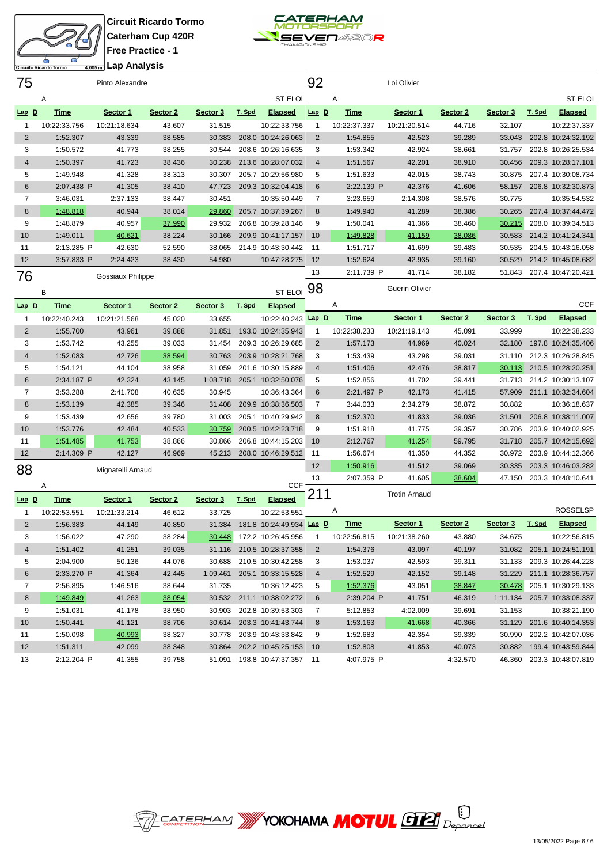



**Lap Analysis**

| 75             | Circuito Ricardo Tormo | 4.005 m.j ⊑ap Ariaiyəiə<br>Pinto Alexandre |          |          |        |                                 | 92             |              | Loi Olivier           |          |          |        |                             |
|----------------|------------------------|--------------------------------------------|----------|----------|--------|---------------------------------|----------------|--------------|-----------------------|----------|----------|--------|-----------------------------|
|                |                        |                                            |          |          |        |                                 |                |              |                       |          |          |        |                             |
|                | Α                      |                                            |          |          |        | ST ELOI                         |                | Α            |                       |          |          |        | <b>ST ELOI</b>              |
| <u>Lap D</u>   | <b>Time</b>            | Sector 1                                   | Sector 2 | Sector 3 | T. Spd | <b>Elapsed</b>                  | $Lap$ D        | <b>Time</b>  | Sector 1              | Sector 2 | Sector 3 | T. Spd | <b>Elapsed</b>              |
| $\mathbf{1}$   | 10:22:33.756           | 10:21:18.634                               | 43.607   | 31.515   |        | 10:22:33.756                    | $\overline{1}$ | 10:22:37.337 | 10:21:20.514          | 44.716   | 32.107   |        | 10:22:37.337                |
| $\overline{2}$ | 1:52.307               | 43.339                                     | 38.585   | 30.383   |        | 208.0 10:24:26.063              | $\overline{2}$ | 1:54.855     | 42.523                | 39.289   | 33.043   |        | 202.8 10:24:32.192          |
| 3              | 1:50.572               | 41.773                                     | 38.255   | 30.544   |        | 208.6 10:26:16.635              | 3              | 1:53.342     | 42.924                | 38.661   | 31.757   |        | 202.8 10:26:25.534          |
| 4              | 1:50.397               | 41.723                                     | 38.436   | 30.238   |        | 213.6 10:28:07.032              | $\overline{4}$ | 1:51.567     | 42.201                | 38.910   | 30.456   |        | 209.3 10:28:17.101          |
| 5              | 1:49.948               | 41.328                                     | 38.313   | 30.307   |        | 205.7 10:29:56.980              | 5              | 1:51.633     | 42.015                | 38.743   | 30.875   |        | 207.4 10:30:08.734          |
| 6              | 2:07.438 P             | 41.305                                     | 38.410   | 47.723   |        | 209.3 10:32:04.418              | 6              | 2:22.139 P   | 42.376                | 41.606   | 58.157   |        | 206.8 10:32:30.873          |
| $\overline{7}$ | 3:46.031               | 2:37.133                                   | 38.447   | 30.451   |        | 10:35:50.449                    | 7              | 3:23.659     | 2:14.308              | 38.576   | 30.775   |        | 10:35:54.532                |
| 8              | 1:48.818               | 40.944                                     | 38.014   | 29.860   |        | 205.7 10:37:39.267              | 8              | 1:49.940     | 41.289                | 38.386   | 30.265   |        | 207.4 10:37:44.472          |
| 9              | 1:48.879               | 40.957                                     | 37.990   | 29.932   |        | 206.8 10:39:28.146              | 9              | 1:50.041     | 41.366                | 38.460   | 30.215   |        | 208.0 10:39:34.513          |
| 10             | 1:49.011               | 40.621                                     | 38.224   | 30.166   |        | 209.9 10:41:17.157              | 10             | 1:49.828     | 41.159                | 38.086   | 30.583   |        | 214.2 10:41:24.341          |
| 11             | 2:13.285 P             | 42.630                                     | 52.590   | 38.065   |        | 214.9 10:43:30.442              | -11            | 1:51.717     | 41.699                | 39.483   | 30.535   |        | 204.5 10:43:16.058          |
| 12             | 3:57.833 P             | 2:24.423                                   | 38.430   | 54.980   |        | 10:47:28.275                    | 12             | 1:52.624     | 42.935                | 39.160   | 30.529   |        | 214.2 10:45:08.682          |
| 76             |                        | Gossiaux Philippe                          |          |          |        |                                 | 13             | 2:11.739 P   | 41.714                | 38.182   | 51.843   |        | 207.4 10:47:20.421          |
|                | B                      |                                            |          |          |        | ST ELOI                         | 98             |              | <b>Guerin Olivier</b> |          |          |        |                             |
| Lap D          | <b>Time</b>            | Sector 1                                   | Sector 2 | Sector 3 | T. Spd | <b>Elapsed</b>                  |                | Α            |                       |          |          |        | <b>CCF</b>                  |
| 1              | 10:22:40.243           | 10:21:21.568                               | 45.020   | 33.655   |        | 10:22:40.243 Lap D              |                | <b>Time</b>  | Sector 1              | Sector 2 | Sector 3 | T. Spd | <b>Elapsed</b>              |
| $\overline{2}$ | 1:55.700               | 43.961                                     | 39.888   | 31.851   |        | 193.0 10:24:35.943              | $\mathbf{1}$   | 10:22:38.233 | 10:21:19.143          | 45.091   | 33.999   |        | 10:22:38.233                |
| 3              | 1:53.742               | 43.255                                     | 39.033   | 31.454   |        | 209.3 10:26:29.685              | $\overline{2}$ | 1:57.173     | 44.969                | 40.024   | 32.180   |        | 197.8 10:24:35.406          |
| 4              | 1:52.083               | 42.726                                     | 38.594   | 30.763   |        | 203.9 10:28:21.768              | 3              | 1:53.439     | 43.298                | 39.031   | 31.110   |        | 212.3 10:26:28.845          |
| 5              | 1:54.121               | 44.104                                     | 38.958   | 31.059   |        | 201.6 10:30:15.889              | $\overline{4}$ | 1:51.406     | 42.476                | 38.817   | 30.113   |        | 210.5 10:28:20.251          |
| 6              | 2:34.187 P             | 42.324                                     | 43.145   | 1:08.718 |        | 205.1 10:32:50.076              | 5              | 1:52.856     | 41.702                | 39.441   | 31.713   |        | 214.2 10:30:13.107          |
| 7              | 3:53.288               | 2:41.708                                   | 40.635   | 30.945   |        | 10:36:43.364                    | 6              | 2:21.497 P   | 42.173                | 41.415   | 57.909   |        | 211.1 10:32:34.604          |
| 8              | 1:53.139               | 42.385                                     | 39.346   | 31.408   |        | 209.9 10:38:36.503              | 7              | 3:44.033     | 2:34.279              | 38.872   | 30.882   |        | 10:36:18.637                |
| 9              | 1:53.439               | 42.656                                     | 39.780   | 31.003   |        | 205.1 10:40:29.942              | 8              | 1:52.370     | 41.833                | 39.036   | 31.501   |        | 206.8 10:38:11.007          |
| 10             | 1:53.776               | 42.484                                     | 40.533   | 30.759   |        | 200.5 10:42:23.718              | 9              | 1:51.918     | 41.775                | 39.357   | 30.786   |        | 203.9 10:40:02.925          |
| 11             | 1:51.485               | 41.753                                     | 38.866   | 30.866   |        | 206.8 10:44:15.203              | 10             | 2:12.767     | 41.254                | 59.795   | 31.718   |        | 205.7 10:42:15.692          |
| 12             | 2:14.309 P             | 42.127                                     | 46.969   | 45.213   |        | 208.0 10:46:29.512              |                | 1:56.674     | 41.350                | 44.352   | 30.972   |        | 203.9 10:44:12.366          |
|                |                        |                                            |          |          |        |                                 | 11<br>12       | 1:50.916     | 41.512                | 39.069   | 30.335   |        | 203.3 10:46:03.282          |
| 88             |                        | Mignatelli Arnaud                          |          |          |        |                                 | 13             | 2:07.359 P   | 41.605                | 38.604   | 47.150   |        | 203.3 10:48:10.641          |
|                | Α                      |                                            |          |          |        | <b>CCF</b>                      |                |              |                       |          |          |        |                             |
| $Lap$ $D$      | <b>Time</b>            | Sector 1                                   | Sector 2 | Sector 3 | T. Spd | <b>Elapsed</b>                  | 211            |              | <b>Trotin Arnaud</b>  |          |          |        |                             |
| $\mathbf{1}$   | 10:22:53.551           | 10:21:33.214                               | 46.612   | 33.725   |        | 10:22:53.551                    |                | Α            |                       |          |          |        | <b>ROSSELSP</b>             |
| 2              | 1:56.383               | 44.149                                     | 40.850   |          |        | 31.384 181.8 10:24:49.934 Lap D |                | <b>Time</b>  | Sector 1              | Sector 2 | Sector 3 | T. Spd | <b>Elapsed</b>              |
| 3              | 1:56.022               | 47.290                                     | 38.284   | 30.448   |        | 172.2 10:26:45.956              | $\mathbf{1}$   | 10:22:56.815 | 10:21:38.260          | 43.880   | 34.675   |        | 10:22:56.815                |
| 4              | 1:51.402               | 41.251                                     | 39.035   | 31.116   |        | 210.5 10:28:37.358              | 2              | 1:54.376     | 43.097                | 40.197   |          |        | 31.082 205.1 10:24:51.191   |
| 5              | 2:04.900               | 50.136                                     | 44.076   | 30.688   |        | 210.5 10:30:42.258              | 3              | 1:53.037     | 42.593                | 39.311   |          |        | 31.133 209.3 10:26:44.228   |
| 6              | 2:33.270 P             | 41.364                                     | 42.445   | 1:09.461 |        | 205.1 10:33:15.528              | 4              | 1:52.529     | 42.152                | 39.148   |          |        | 31.229 211.1 10:28:36.757   |
| $\overline{7}$ | 2:56.895               | 1:46.516                                   | 38.644   | 31.735   |        | 10:36:12.423                    | 5              | 1:52.376     | 43.051                | 38.847   | 30.478   |        | 205.1 10:30:29.133          |
| 8              | 1:49.849               | 41.263                                     | 38.054   | 30.532   |        | 211.1 10:38:02.272              | 6              | 2:39.204 P   | 41.751                | 46.319   |          |        | 1:11.134 205.7 10:33:08.337 |
| 9              | 1:51.031               | 41.178                                     | 38.950   | 30.903   |        | 202.8 10:39:53.303              | 7              | 5:12.853     | 4:02.009              | 39.691   | 31.153   |        | 10:38:21.190                |
| 10             | 1:50.441               | 41.121                                     | 38.706   | 30.614   |        | 203.3 10:41:43.744              | 8              | 1:53.163     | 41.668                | 40.366   | 31.129   |        | 201.6 10:40:14.353          |
| 11             | 1:50.098               | 40.993                                     | 38.327   | 30.778   |        | 203.9 10:43:33.842              | 9              | 1:52.683     | 42.354                | 39.339   | 30.990   |        | 202.2 10:42:07.036          |
| 12             | 1:51.311               | 42.099                                     | 38.348   | 30.864   |        | 202.2 10:45:25.153              | 10             | 1:52.808     | 41.853                | 40.073   | 30.882   |        | 199.4 10:43:59.844          |
| 13             | 2:12.204 P             | 41.355                                     | 39.758   | 51.091   |        | 198.8 10:47:37.357 11           |                | 4:07.975 P   |                       | 4:32.570 |          |        | 46.360 203.3 10:48:07.819   |

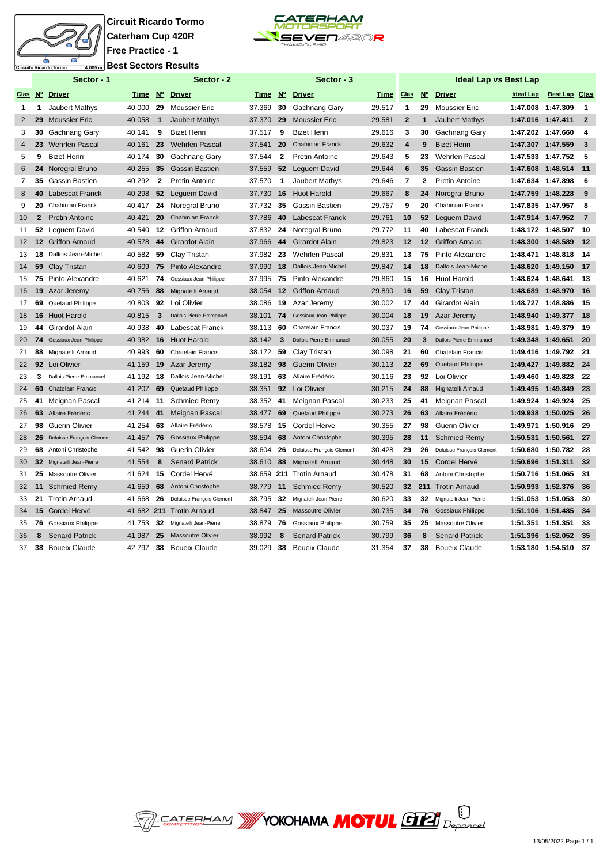

**Circuit Ricardo Tormo Caterham Cup 420R Free Practice - 1 Best Sectors Results**



|                |             | Sector - 1                |           |              | Sector - 2                |        |              | Sector - 3                |        |                |                 | <b>Ideal Lap vs Best Lap</b> |                   |                      |                |
|----------------|-------------|---------------------------|-----------|--------------|---------------------------|--------|--------------|---------------------------|--------|----------------|-----------------|------------------------------|-------------------|----------------------|----------------|
|                |             | Clas Nº Driver            |           |              | Time Nº Driver            | Time   | $N^{\circ}$  | <b>Driver</b>             | Time   | <b>Clas</b>    | $N^{\circ}$     | <b>Driver</b>                | <b>Ideal Lap</b>  | <b>Best Lap Clas</b> |                |
| $\mathbf{1}$   | 1           | Jaubert Mathys            | 40.000    | 29           | <b>Moussier Eric</b>      | 37.369 | 30           | Gachnang Gary             | 29.517 | $\mathbf{1}$   | 29              | <b>Moussier Eric</b>         | 1:47.008 1:47.309 |                      | $\overline{1}$ |
| $\overline{2}$ | 29          | <b>Moussier Eric</b>      | 40.058    | $\mathbf{1}$ | <b>Jaubert Mathys</b>     | 37.370 | 29           | <b>Moussier Eric</b>      | 29.581 | $\mathbf{2}$   | 1               | <b>Jaubert Mathys</b>        | 1:47.016 1:47.411 |                      | $\overline{2}$ |
| 3              | 30          | Gachnang Gary             | 40.141    | 9            | <b>Bizet Henri</b>        | 37.517 | 9            | <b>Bizet Henri</b>        | 29.616 | 3              | 30              | Gachnang Gary                |                   | 1:47.202 1:47.660    | 4              |
| $\overline{4}$ | 23          | <b>Wehrlen Pascal</b>     | 40.161    | 23           | <b>Wehrlen Pascal</b>     | 37.541 | 20           | <b>Chahinian Franck</b>   | 29.632 | $\overline{4}$ | 9               | <b>Bizet Henri</b>           | 1:47.307 1:47.559 |                      | -3             |
| 5              | 9           | <b>Bizet Henri</b>        | 40.174    | 30           | Gachnang Gary             | 37.544 | $\mathbf{2}$ | <b>Pretin Antoine</b>     | 29.643 | 5              | 23              | <b>Wehrlen Pascal</b>        | 1:47.533 1:47.752 |                      | - 5            |
| 6              |             | 24 Noregral Bruno         | 40.255    | 35           | <b>Gassin Bastien</b>     | 37.559 | 52           | Lequem David              | 29.644 | 6              | 35              | <b>Gassin Bastien</b>        | 1:47.608          | 1:48.514             | 11             |
| 7              | 35          | <b>Gassin Bastien</b>     | 40.292    | $\mathbf{2}$ | <b>Pretin Antoine</b>     | 37.570 | $\mathbf 1$  | <b>Jaubert Mathys</b>     | 29.646 | $\overline{7}$ | $\mathbf{2}$    | <b>Pretin Antoine</b>        | 1:47.634 1:47.898 |                      | 6              |
| 8              | 40          | <b>Labescat Franck</b>    | 40.298    | 52           | Leguem David              | 37.730 | 16           | <b>Huot Harold</b>        | 29.667 | 8              | 24              | Noregral Bruno               | 1:47.759          | 1:48.228             | 9              |
| 9              |             | 20 Chahinian Franck       | 40.417    | 24           | Noregral Bruno            | 37.732 | 35           | Gassin Bastien            | 29.757 | 9              | 20              | Chahinian Franck             | 1:47.835 1:47.957 |                      | 8              |
| 10             | $2^{\circ}$ | <b>Pretin Antoine</b>     | 40.421    | 20           | <b>Chahinian Franck</b>   | 37.786 | 40           | <b>Labescat Franck</b>    | 29.761 | 10             | 52 <sub>2</sub> | Leguem David                 | 1:47.914 1:47.952 |                      | $\overline{7}$ |
| 11             |             | 52 Leguem David           | 40.540    |              | 12 Griffon Arnaud         | 37.832 | 24           | Noregral Bruno            | 29.772 | 11             | 40              | Labescat Franck              | 1:48.172 1:48.507 |                      | 10             |
| 12             |             | <b>12 Griffon Arnaud</b>  | 40.578    | 44           | <b>Girardot Alain</b>     | 37.966 | 44           | Girardot Alain            | 29.823 | 12             | 12              | <b>Griffon Arnaud</b>        | 1:48.300          | 1:48.589             | 12             |
| 13             | 18          | Dallois Jean-Michel       | 40.582    | 59           | Clay Tristan              | 37.982 | 23           | Wehrlen Pascal            | 29.831 | 13             | 75              | Pinto Alexandre              | 1:48.471          | 1:48.818             | 14             |
| 14             | 59          | Clay Tristan              | 40.609    | 75           | Pinto Alexandre           | 37.990 | 18           | Dallois Jean-Michel       | 29.847 | 14             | 18              | Dallois Jean-Michel          | 1:48.620 1:49.150 |                      | 17             |
| 15             | 75          | Pinto Alexandre           | 40.621    | 74           | Gossiaux Jean-Philippe    | 37.995 | 75           | Pinto Alexandre           | 29.860 | 15             | 16              | <b>Huot Harold</b>           | 1:48.624 1:48.641 |                      | 13             |
| 16             | 19          | Azar Jeremy               | 40.756    | 88           | Mignatelli Arnaud         | 38.054 | 12           | <b>Griffon Arnaud</b>     | 29.890 | 16             | 59              | Clay Tristan                 | 1:48.689 1:48.970 |                      | -16            |
| 17             | 69          | Quetaud Philippe          | 40.803    | 92           | Loi Olivier               | 38.086 | 19           | Azar Jeremy               | 30.002 | 17             | 44              | Girardot Alain               | 1:48.727 1:48.886 |                      | -15            |
| 18             | 16          | <b>Huot Harold</b>        | 40.815    | 3            | Dallois Pierre-Emmanuel   | 38.101 | 74           | Gossiaux Jean-Philippe    | 30.004 | 18             | 19              | Azar Jeremy                  | 1:48.940          | 1:49.377             | 18             |
| 19             | 44          | Girardot Alain            | 40.938    | 40           | Labescat Franck           | 38.113 | 60           | <b>Chatelain Francis</b>  | 30.037 | 19             | 74              | Gossiaux Jean-Philippe       | 1:48.981          | 1:49.379             | 19             |
| 20             | 74          | Gossiaux Jean-Philippe    | 40.982 16 |              | <b>Huot Harold</b>        | 38.142 | 3            | Dallois Pierre-Emmanuel   | 30.055 | 20             | 3               | Dallois Pierre-Emmanuel      | 1:49.348 1:49.651 |                      | 20             |
| 21             | 88          | Mignatelli Arnaud         | 40.993    | 60           | Chatelain Francis         | 38.172 | 59           | Clay Tristan              | 30.098 | 21             | 60              | <b>Chatelain Francis</b>     | 1:49.416          | 1:49.792             | 21             |
| 22             |             | 92 Loi Olivier            | 41.159    | 19           | Azar Jeremy               | 38.182 | 98           | <b>Guerin Olivier</b>     | 30.113 | 22             | 69              | Quetaud Philippe             |                   | 1:49.427 1:49.882    | 24             |
| 23             | 3           | Dallois Pierre-Emmanuel   | 41.192 18 |              | Dallois Jean-Michel       | 38.191 | 63           | Allaire Frédéric          | 30.116 | 23             | 92              | Loi Olivier                  | 1:49.460 1:49.828 |                      | 22             |
| 24             | 60          | <b>Chatelain Francis</b>  | 41.207    | 69           | <b>Quetaud Philippe</b>   | 38.351 | 92           | Loi Olivier               | 30.215 | 24             | 88              | Mignatelli Arnaud            | 1:49.495          | 1:49.849             | 23             |
| 25             | 41          | Meignan Pascal            | 41.214    | 11           | <b>Schmied Remy</b>       | 38.352 | 41           | Meignan Pascal            | 30.233 | 25             | 41              | Meignan Pascal               |                   | 1:49.924 1:49.924    | 25             |
| 26             | 63          | Allaire Frédéric          | 41.244    | 41           | Meignan Pascal            | 38.477 | 69           | Quetaud Philippe          | 30.273 | 26             | 63              | Allaire Frédéric             | 1:49.938 1:50.025 |                      | 26             |
| 27             | 98          | <b>Guerin Olivier</b>     | 41.254    | 63           | Allaire Frédéric          | 38.578 | 15           | Cordel Hervé              | 30.355 | 27             | 98              | <b>Guerin Olivier</b>        | 1:49.971          | 1:50.916             | 29             |
| 28             | 26          | Delaisse François Clement | 41.457    | 76           | <b>Gossiaux Philippe</b>  | 38.594 | 68           | Antoni Christophe         | 30.395 | 28             | 11              | <b>Schmied Remy</b>          | 1:50.531 1:50.561 |                      | - 27           |
| 29             |             | 68 Antoni Christophe      | 41.542    | 98           | <b>Guerin Olivier</b>     | 38.604 | 26           | Delaisse François Clement | 30.428 | 29             | 26              | Delaisse François Clement    |                   | 1:50.680 1:50.782    | -28            |
| 30             |             | 32 Mignatelli Jean-Pierre | 41.554    | 8            | <b>Senard Patrick</b>     | 38.610 | 88           | Mignatelli Arnaud         | 30.448 | 30             | 15              | Cordel Hervé                 | 1:50.696          | 1:51.311             | 32             |
| 31             | 25          | Massoutre Olivier         | 41.624    | 15           | Cordel Hervé              | 38.659 |              | 211 Trotin Arnaud         | 30.478 | 31             | 68              | Antoni Christophe            | 1:50.716 1:51.065 |                      | 31             |
| 32             | 11          | <b>Schmied Remy</b>       | 41.659    | 68           | Antoni Christophe         | 38.779 | 11           | <b>Schmied Remy</b>       | 30.520 | 32             | 211             | <b>Trotin Arnaud</b>         | 1:50.993          | 1:52.376             | 36             |
| 33             | 21          | <b>Trotin Arnaud</b>      | 41.668    | 26           | Delaisse François Clement | 38.795 | 32           | Mignatelli Jean-Pierre    | 30.620 | 33             | 32              | Mignatelli Jean-Pierre       | 1:51.053 1:51.053 |                      | 30             |
| 34             |             | 15 Cordel Hervé           |           |              | 41.682 211 Trotin Arnaud  | 38.847 | 25           | <b>Massoutre Olivier</b>  | 30.735 | 34             | 76              | <b>Gossiaux Philippe</b>     | 1:51.106 1:51.485 |                      | - 34           |
| 35             |             | 76 Gossiaux Philippe      | 41.753    | 32           | Mignatelli Jean-Pierre    | 38.879 | 76           | <b>Gossiaux Philippe</b>  | 30.759 | 35             | 25              | <b>Massoutre Olivier</b>     | 1:51.351 1:51.351 |                      | -33            |
| 36             | 8           | <b>Senard Patrick</b>     | 41.987    | 25           | <b>Massoutre Olivier</b>  | 38.992 | 8            | <b>Senard Patrick</b>     | 30.799 | 36             | 8               | <b>Senard Patrick</b>        |                   | 1:51.396 1:52.052    | - 35           |
| 37             |             | 38 Boueix Claude          | 42.797    | 38           | <b>Boueix Claude</b>      | 39.029 | 38           | <b>Boueix Claude</b>      | 31.354 | 37             | 38              | <b>Boueix Claude</b>         |                   | 1:53.180 1:54.510    | 37             |

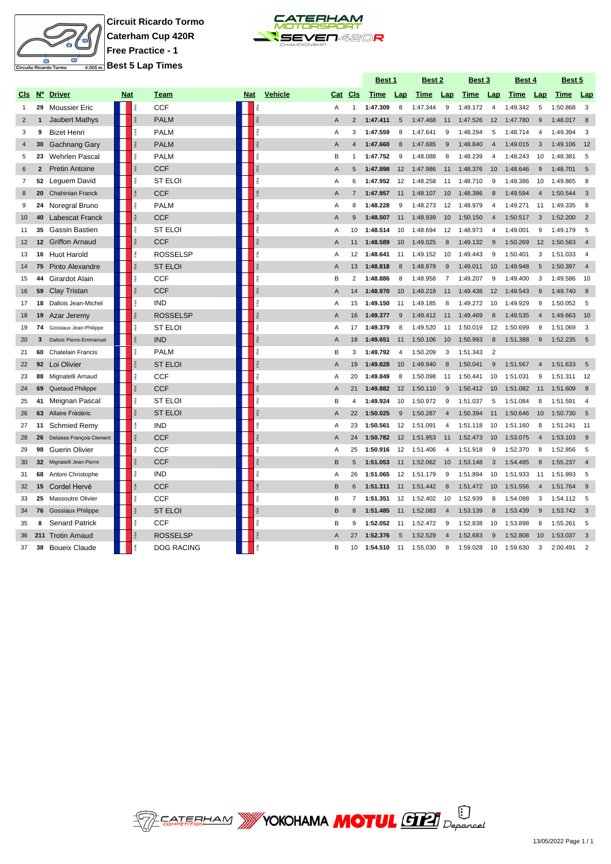

**Circuit Ricardo Tormo Caterham Cup 420R Free Practice - 1 Best 5 Lap Times**



|                |                 |                           |     |      |                   |     |                |                |                | <u>Best 1</u> |                | <u>Best 2</u> |                  | <u>Best 3</u> |                         | <u>Best 4</u> |                | <u>Best 5</u> |                         |
|----------------|-----------------|---------------------------|-----|------|-------------------|-----|----------------|----------------|----------------|---------------|----------------|---------------|------------------|---------------|-------------------------|---------------|----------------|---------------|-------------------------|
| CIS            | <b>N°</b>       | <b>Driver</b>             | Nat |      | Team              | Nat | <b>Vehicle</b> | Cat            | CIS            | Time          | Lap            | <b>Time</b>   | Lap              | Time          | Lap                     | Time          | Lap            | <b>Time</b>   | Lap                     |
| $\mathbf{1}$   | 29              | <b>Moussier Eric</b>      |     |      | <b>CCF</b>        |     |                | Α              | 1              | 1:47.309      | 8              | 1:47.344      | 9                | 1:49.172      | 4                       | 1:49.342      | 5              | 1:50.868      | 3                       |
| $\overline{2}$ | 1               | Jaubert Mathys            |     |      | <b>PALM</b>       |     | $\lessapprox$  | $\overline{A}$ | $\overline{2}$ | 1:47.411      | 5              | 1:47.468      | 11               | 1:47.526      | 12                      | 1:47.780      | 9              | 1:48.017      | 8                       |
| 3              | 9               | <b>Bizet Henri</b>        |     | îRA. | <b>PALM</b>       |     | RA.            | Α              | 3              | 1:47.559      | 8              | 1:47.641      | 9                | 1:48.294      | 5                       | 1:48.714      | 4              | 1:49.394      | 3                       |
| $\overline{4}$ | 30              | <b>Gachnang Gary</b>      |     |      | <b>PALM</b>       |     |                | $\overline{A}$ | $\overline{4}$ | 1:47.660      | 8              | 1:47.685      | 9                | 1:48.840      | $\overline{\mathbf{4}}$ | 1:49.015      | $\mathbf{3}$   | 1:49.106      | 12                      |
| 5              | 23              | <b>Wehrlen Pascal</b>     |     | îRA. | <b>PALM</b>       |     | îRA.           | B              | 1              | 1:47.752      | 9              | 1:48.088      | 8                | 1:48.239      | 4                       | 1:48.243      | 10             | 1:48.381      | 5                       |
| 6              | $\overline{2}$  | <b>Pretin Antoine</b>     |     |      | <b>CCF</b>        |     |                | $\overline{A}$ | 5              | 1:47.898      | 12             | 1:47.986      | 11               | 1:48.376      | 10                      | 1:48.646      | 9              | 1:48.701      | $\overline{5}$          |
| 7              | 52              | Leguem David              |     | ã    | <b>ST ELOI</b>    |     | 歪              | A              | 6              | 1:47.952      | 12             | 1:48.258      | 11               | 1:48.710      | 9                       | 1:49.386      | 10             | 1:49.865      | 8                       |
| 8              | 20              | <b>Chahinian Franck</b>   |     |      | <b>CCF</b>        |     |                | A              | $\overline{7}$ | 1:47.957      | 11             | 1:48.107      | 10               | 1:48.386      | 8                       | 1:49.594      | $\overline{4}$ | 1:50.544      | 3                       |
| 9              | 24              | Noregral Bruno            |     |      | <b>PALM</b>       |     |                | Α              | 8              | 1:48.228      | 9              | 1:48.273      | 12               | 1:48.979      | $\overline{4}$          | 1:49.271      | 11             | 1:49.335      | 8                       |
| 10             | 40              | <b>Labescat Franck</b>    |     |      | <b>CCF</b>        |     |                | $\overline{A}$ | 9              | 1:48.507      | 11             | 1:48.939      | 10               | 1:50.150      | $\overline{4}$          | 1:50.517      | $\mathbf{3}$   | 1:52.200      | $\overline{2}$          |
| 11             | 35              | Gassin Bastien            |     |      | <b>ST ELOI</b>    |     | îRA.           | Α              | 10             | 1:48.514      | 10             | 1:48.694      | 12               | 1:48.973      | $\overline{4}$          | 1:49.001      | 9              | 1:49.179      | 5                       |
| 12             |                 | 12 Griffon Arnaud         |     |      | <b>CCF</b>        |     |                | $\overline{A}$ | 11             | 1:48.589      | 10             | 1:49.025      | 8                | 1:49.132      | 9                       | 1:50.269      | 12             | 1:50.583      | $\overline{4}$          |
| 13             | 16              | <b>Huot Harold</b>        |     |      | <b>ROSSELSP</b>   |     | îRA.           | A              | 12             | 1:48.641      | 11             | 1:49.152      | 10               | 1:49.443      | 9                       | 1:50.401      | 3              | 1:51.033      | $\overline{4}$          |
| 14             | 75              | Pinto Alexandre           |     |      | <b>ST ELOI</b>    |     |                | $\overline{A}$ | 13             | 1:48.818      | 8              | 1:48.879      | 9                | 1:49.011      | 10                      | 1:49.948      | 5              | 1:50.397      | $\overline{4}$          |
| 15             | 44              | Girardot Alain            |     | 盏    | <b>CCF</b>        |     | RA.            | B              | $\overline{2}$ | 1:48.886      | 8              | 1:48.958      | $\overline{7}$   | 1:49.207      | 9                       | 1:49.400      | 3              | 1:49.586      | 10                      |
| 16             | 59              | <b>Clay Tristan</b>       |     |      | <b>CCF</b>        |     | RA             | $\overline{A}$ | 14             | 1:48.970      | 10             | 1:49.218      | 11               | 1:49.438      | 12                      | 1:49.543      | 9              | 1:49.740      | 8                       |
| 17             | 18              | Dallois Jean-Michel       |     | îRA. | <b>IND</b>        |     | îRA.           | A              | 15             | 1:49.150      | 11             | 1:49.185      | 8                | 1:49.272      | 10                      | 1:49.929      | 9              | 1:50.052      | 5                       |
| 18             | 19              | Azar Jeremy               |     |      | <b>ROSSELSP</b>   |     |                | $\overline{A}$ | 16             | 1:49.377      | 9              | 1:49.412      | 11               | 1:49.469      | 8                       | 1:49.535      | $\overline{4}$ | 1:49.663      | 10                      |
| 19             | 74              | Gossiaux Jean-Philippe    |     | ř.   | ST ELOI           |     | 臣              | Α              | 17             | 1:49.379      | 8              | 1:49.520      | 11               | 1:50.019      | 12                      | 1:50.699      | 9              | 1:51.069      | 3                       |
| 20             | 3               | Dallois Pierre-Emmanuel   |     |      | <b>IND</b>        |     |                | $\overline{A}$ | 18             | 1:49.651      | 11             | 1:50.106      | 10               | 1:50.993      | 8                       | 1:51.388      | 9              | 1:52.235      | $-5$                    |
| 21             | 60              | <b>Chatelain Francis</b>  |     | ã    | <b>PALM</b>       |     | 歪              | B              | 3              | 1:49.792      | $\overline{4}$ | 1:50.209      | 3                | 1:51.343      | $\overline{2}$          |               |                |               |                         |
| 22             | 92              | Loi Olivier               |     |      | <b>ST ELOI</b>    |     |                | A              | 19             | 1:49.828      | 10             | 1:49.940      | 8                | 1:50.041      | 9                       | 1:51.567      | $\overline{4}$ | 1:51.633      | 5                       |
| 23             | 88              | Mignatelli Arnaud         |     |      | <b>CCF</b>        |     | îRA.           | A              | 20             | 1:49.849      | 8              | 1:50.098      | 11               | 1:50.441      | 10                      | 1:51.031      | 9              | 1:51.311      | 12                      |
| 24             | 69              | Quetaud Philippe          |     |      | <b>CCF</b>        |     |                | $\overline{A}$ | 21             | 1:49.882      | 12             | 1:50.110      | 9                | 1:50.412      | 10                      | 1:51.082      | 11             | 1:51.609      | 8                       |
| 25             | 41              | Meignan Pascal            |     |      | <b>ST ELOI</b>    |     |                | B              | 4              | 1:49.924      | 10             | 1:50.972      | $\boldsymbol{9}$ | 1:51.037      | 5                       | 1:51.084      | 8              | 1:51.591      | $\overline{4}$          |
| 26             | 63              | Allaire Frédéric          |     |      | <b>ST ELOI</b>    |     |                | $\overline{A}$ | 22             | 1:50.025      | 9              | 1:50.287      | $\overline{4}$   | 1:50.394      | 11                      | 1:50.646      | 10             | 1:50.730      | 5                       |
| 27             | 11              | Schmied Remy              |     | é    | <b>IND</b>        |     | FØ.            | Α              | 23             | 1:50.561      | 12             | 1:51.091      | $\overline{4}$   | 1:51.118      | 10                      | 1:51.160      | 8              | 1:51.241      | 11                      |
| 28             | 26              | Delaisse François Clement |     | Æ    | <b>CCF</b>        |     | RA             | $\overline{A}$ | 24             | 1:50.782      | 12             | 1:51.953      | 11               | 1:52.473      | 10                      | 1:53.075      | $\overline{4}$ | 1:53.103      | 9                       |
| 29             | 98              | <b>Guerin Olivier</b>     |     | 盏    | <b>CCF</b>        |     | RA.            | $\overline{A}$ | 25             | 1:50.916      | 12             | 1:51.406      | 4                | 1:51.918      | 9                       | 1:52.370      | 8              | 1:52.856      | 5                       |
| 30             | 32 <sub>2</sub> | Mignatelli Jean-Pierre    |     |      | <b>CCF</b>        |     |                | B              | 5              | 1:51.053      | 11             | 1:52.062      | 10               | 1:53.148      | 3                       | 1:54.485      | 8              | 1:55.237      | $\overline{4}$          |
| 31             | 68              | Antoni Christophe         |     | é    | <b>IND</b>        |     | ₫.             | $\overline{A}$ | 26             | 1:51.065      | 12             | 1:51.179      | 9                | 1:51.894      | 10                      | 1:51.933      | 11             | 1:51.993      | 5                       |
| 32             | 15              | Cordel Hervé              |     |      | <b>CCF</b>        |     |                | B              | 6              | 1:51.311      | 11             | 1:51.442      | 8                | 1:51.472      | 10                      | 1:51.556      | $\overline{4}$ | 1:51.764      | 9                       |
| 33             | 25              | Massoutre Olivier         |     | ã    | <b>CCF</b>        |     | îRA.           | B              | $\overline{7}$ | 1:51.351      | 12             | 1:52.402      | 10               | 1:52.939      | 8                       | 1:54.088      | 3              | 1:54.112      | 5                       |
| 34             |                 | 76 Gossiaux Philippe      |     |      | <b>ST ELOI</b>    |     |                | B              | 8              | 1:51.485      | 11             | 1:52.083      | $\overline{4}$   | 1:53.139      | 8                       | 1:53.439      | 9              | 1:53.742      | $\overline{\mathbf{3}}$ |
| 35             | 8               | <b>Senard Patrick</b>     |     |      | <b>CCF</b>        |     | 系              | B              | 9              | 1:52.052      | 11             | 1:52.472      | 9                | 1:52.838      | 10                      | 1:53.898      | 8              | 1:55.261      | 5                       |
| 36             |                 | 211 Trotin Arnaud         |     |      | <b>ROSSELSP</b>   |     |                | $\overline{A}$ | 27             | 1:52.376      | 5              | 1:52.529      | $\overline{4}$   | 1:52.683      | $\mathbf{Q}$            | 1:52.808      | 10             | 1:53.037      | 3                       |
| 37             | 38              | <b>Boueix Claude</b>      |     |      | <b>DOG RACING</b> |     |                | B              | 10             | 1:54.510      | 11             | 1:55.030      | 8                | 1:59.028      | 10                      | 1:59.630      | 3              | 2:00.491      | $\overline{2}$          |

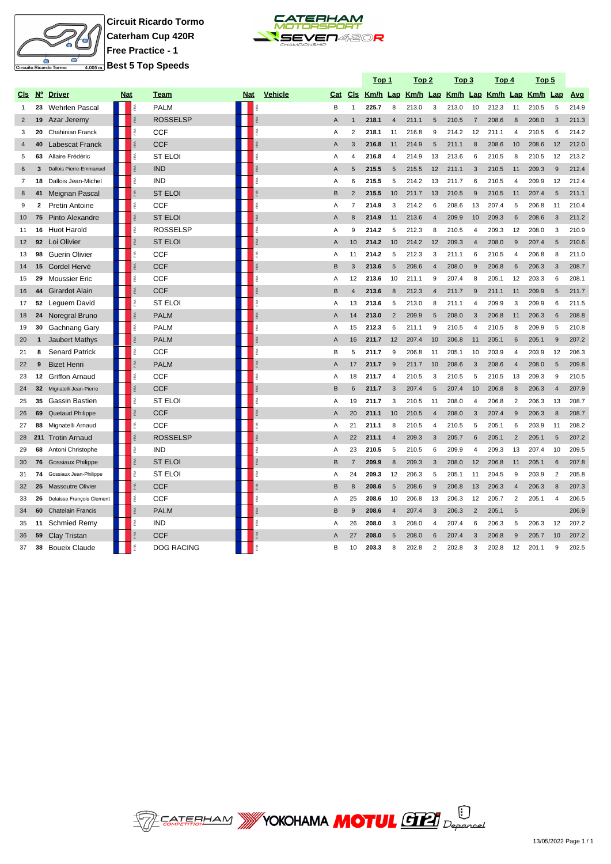

**Circuit Ricardo Tormo Caterham Cup 420R Free Practice - 1 Best 5 Top Speeds**



|                |                 |                           |            |           |                   |            |                |                |                | <u>Top 1</u> |                         | <u>Top 2</u> |                | <u>Top 3</u> |                | <u>Top 4</u>                                 |                | <u>Top 5</u> |                |       |
|----------------|-----------------|---------------------------|------------|-----------|-------------------|------------|----------------|----------------|----------------|--------------|-------------------------|--------------|----------------|--------------|----------------|----------------------------------------------|----------------|--------------|----------------|-------|
| CIs            | $N^{\circ}$     | <b>Driver</b>             | <b>Nat</b> |           | <b>Team</b>       | <b>Nat</b> | <b>Vehicle</b> | Cat            | CIs            |              |                         |              |                |              |                | Km/h Lap Km/h Lap Km/h Lap Km/h Lap Km/h Lap |                |              |                | Avg   |
| $\mathbf{1}$   | 23              | <b>Wehrlen Pascal</b>     |            |           | <b>PALM</b>       |            |                | B              | $\mathbf{1}$   | 225.7        | 8                       | 213.0        | 3              | 213.0        | 10             | 212.3                                        | 11             | 210.5        | 5              | 214.9 |
| $\overline{2}$ | 19              | Azar Jeremy               |            | 臣         | <b>ROSSELSP</b>   |            |                | A              | $\overline{1}$ | 218.1        | $\overline{4}$          | 211.1        | 5              | 210.5        | $\overline{7}$ | 208.6                                        | 8              | 208.0        | 3              | 211.3 |
| 3              | 20              | <b>Chahinian Franck</b>   |            | FRA       | <b>CCF</b>        |            | RA             | Α              | $\overline{2}$ | 218.1        | 11                      | 216.8        | 9              | 214.2        | 12             | 211.1                                        | $\overline{4}$ | 210.5        | 6              | 214.2 |
| $\overline{4}$ | 40              | <b>Labescat Franck</b>    |            | RA        | <b>CCF</b>        |            |                | Α              | 3              | 216.8        | 11                      | 214.9        | 5              | 211.1        | 8              | 208.6                                        | 10             | 208.6        | 12             | 212.0 |
| 5              | 63              | Allaire Frédéric          |            | RA.       | <b>ST ELOI</b>    |            |                | A              | $\overline{4}$ | 216.8        | $\overline{4}$          | 214.9        | 13             | 213.6        | 6              | 210.5                                        | 8              | 210.5        | 12             | 213.2 |
| 6              | 3               | Dallois Pierre-Emmanuel   |            |           | <b>IND</b>        |            |                | $\mathsf{A}$   | $\overline{5}$ | 215.5        | 5                       | 215.5        | 12             | 211.1        | $\mathbf{B}$   | 210.5                                        | 11             | 209.3        | 9              | 212.4 |
| 7              | 18              | Dallois Jean-Michel       |            |           | <b>IND</b>        |            |                | A              | 6              | 215.5        | 5                       | 214.2        | 13             | 211.7        | 6              | 210.5                                        | $\overline{4}$ | 209.9        | 12             | 212.4 |
| 8              | 41              | Meignan Pascal            |            |           | <b>ST ELOI</b>    |            |                | B              | $\overline{2}$ | 215.5        | 10                      | 211.7        | 13             | 210.5        | 9              | 210.5                                        | 11             | 207.4        | 5              | 211.1 |
| 9              | 2               | Pretin Antoine            |            |           | <b>CCF</b>        |            |                | A              | $\overline{7}$ | 214.9        | 3                       | 214.2        | 6              | 208.6        | 13             | 207.4                                        | 5              | 206.8        | 11             | 210.4 |
| 10             | 75              | Pinto Alexandre           |            |           | <b>ST ELOI</b>    |            |                | $\overline{A}$ | $\mathbf{8}$   | 214.9        | 11                      | 213.6        | $\overline{4}$ | 209.9        | 10             | 209.3                                        | 6              | 208.6        | 3              | 211.2 |
| 11             | 16              | <b>Huot Harold</b>        |            | Ř9.       | <b>ROSSELSP</b>   |            | ŘÁ             | A              | 9              | 214.2        | 5                       | 212.3        | 8              | 210.5        | $\overline{4}$ | 209.3                                        | 12             | 208.0        | 3              | 210.9 |
| 12             |                 | 92 Loi Olivier            |            |           | <b>ST ELOI</b>    |            | FRA            | $\overline{A}$ | 10             | 214.2        | 10                      | 214.2        | 12             | 209.3        | $\overline{4}$ | 208.0                                        | 9              | 207.4        | 5              | 210.6 |
| 13             | 98              | <b>Guerin Olivier</b>     |            |           | <b>CCF</b>        |            | Ř              | A              | 11             | 214.2        | 5                       | 212.3        | 3              | 211.1        | 6              | 210.5                                        | $\overline{4}$ | 206.8        | 8              | 211.0 |
| 14             | 15              | Cordel Hervé              |            |           | <b>CCF</b>        |            |                | B              | 3              | 213.6        | 5                       | 208.6        | $\overline{4}$ | 208.0        | 9              | 206.8                                        | 6              | 206.3        | 3              | 208.7 |
| 15             | 29              | <b>Moussier Eric</b>      |            | 歪         | <b>CCF</b>        |            | Ř              | A              | 12             | 213.6        | 10                      | 211.1        | 9              | 207.4        | 8              | 205.1                                        | 12             | 203.3        | 6              | 208.1 |
| 16             | 44              | Girardot Alain            |            |           | <b>CCF</b>        |            |                | B              | $\overline{4}$ | 213.6        | 8                       | 212.3        | $\overline{4}$ | 211.7        | 9              | 211.1                                        | 11             | 209.9        | 5              | 211.7 |
| 17             | 52              | Leguem David              |            | FRA       | <b>ST ELOI</b>    |            |                | A              | 13             | 213.6        | 5                       | 213.0        | 8              | 211.1        | $\overline{4}$ | 209.9                                        | 3              | 209.9        | 6              | 211.5 |
| 18             | 24              | Noregral Bruno            |            |           | <b>PALM</b>       |            |                | A              | 14             | 213.0        | $\overline{2}$          | 209.9        | 5              | 208.0        | 3              | 206.8                                        | 11             | 206.3        | 6              | 208.8 |
| 19             | 30              | Gachnang Gary             |            | i.        | <b>PALM</b>       |            | é              | Α              | 15             | 212.3        | 6                       | 211.1        | 9              | 210.5        | $\overline{4}$ | 210.5                                        | 8              | 209.9        | 5              | 210.8 |
| 20             | $\mathbf{1}$    | Jaubert Mathys            |            |           | <b>PALM</b>       |            |                | $\mathsf{A}$   | 16             | 211.7        | 12                      | 207.4        | 10             | 206.8        | 11             | 205.1                                        | 6              | 205.1        | 9              | 207.2 |
| 21             | 8               | <b>Senard Patrick</b>     |            |           | <b>CCF</b>        |            |                | B              | 5              | 211.7        | 9                       | 206.8        | 11             | 205.1        | 10             | 203.9                                        | $\overline{4}$ | 203.9        | 12             | 206.3 |
| 22             | 9               | <b>Bizet Henri</b>        |            |           | <b>PALM</b>       |            |                | A              | 17             | 211.7        | 9                       | 211.7        | 10             | 208.6        | 3              | 208.6                                        | $\overline{4}$ | 208.0        | 5              | 209.8 |
| 23             | 12              | <b>Griffon Arnaud</b>     |            |           | <b>CCF</b>        |            |                | A              | 18             | 211.7        | $\overline{4}$          | 210.5        | 3              | 210.5        | 5              | 210.5                                        | 13             | 209.3        | 9              | 210.5 |
| 24             | 32 <sub>2</sub> | Mignatelli Jean-Pierre    |            |           | <b>CCF</b>        |            |                | B              | 6              | 211.7        | 3                       | 207.4        | 5              | 207.4        | 10             | 206.8                                        | 8              | 206.3        | $\overline{4}$ | 207.9 |
| 25             | 35              | Gassin Bastien            |            |           | <b>ST ELOI</b>    |            |                | A              | 19             | 211.7        | 3                       | 210.5        | 11             | 208.0        | 4              | 206.8                                        | $\overline{2}$ | 206.3        | 13             | 208.7 |
| 26             | 69              | Quetaud Philippe          |            |           | <b>CCF</b>        |            | ŘÁ             | $\overline{A}$ | 20             | 211.1        | 10                      | 210.5        | $\overline{4}$ | 208.0        | $\mathbf{3}$   | 207.4                                        | 9              | 206.3        | 8              | 208.7 |
| 27             | 88              | Mignatelli Arnaud         |            |           | <b>CCF</b>        |            | i.             | Α              | 21             | 211.1        | 8                       | 210.5        | $\overline{4}$ | 210.5        | 5              | 205.1                                        | 6              | 203.9        | 11             | 208.2 |
| 28             | 211             | <b>Trotin Arnaud</b>      |            |           | <b>ROSSELSP</b>   |            | FRA            | $\overline{A}$ | 22             | 211.1        | $\overline{\mathbf{A}}$ | 209.3        | 3              | 205.7        | 6              | 205.1                                        | $\overline{2}$ | 205.1        | 5              | 207.2 |
| 29             | 68              | Antoni Christophe         |            | Æ         | <b>IND</b>        |            | Ř              | A              | 23             | 210.5        | 5                       | 210.5        | 6              | 209.9        | $\overline{4}$ | 209.3                                        | 13             | 207.4        | 10             | 209.5 |
| 30             | 76              | <b>Gossiaux Philippe</b>  |            | RA        | <b>ST ELOI</b>    |            | îRA            | B              | $\overline{7}$ | 209.9        | 8                       | 209.3        | 3              | 208.0        | 12             | 206.8                                        | 11             | 205.1        | 6              | 207.8 |
| 31             | 74              | Gossiaux Jean-Philippe    |            | ă,        | <b>ST ELOI</b>    |            | é              | A              | 24             | 209.3        | 12                      | 206.3        | 5              | 205.1        | 11             | 204.5                                        | 9              | 203.9        | $\overline{2}$ | 205.8 |
| 32             | 25              | <b>Massoutre Olivier</b>  |            | <b>RA</b> | <b>CCF</b>        |            |                | B              | 8              | 208.6        | 5                       | 208.6        | 9              | 206.8        | 13             | 206.3                                        | $\overline{4}$ | 206.3        | 8              | 207.3 |
| 33             | 26              | Delaisse François Clement |            | RA.       | <b>CCF</b>        |            | îRA.           | A              | 25             | 208.6        | 10                      | 206.8        | 13             | 206.3        | 12             | 205.7                                        | $\overline{2}$ | 205.1        | $\overline{4}$ | 206.5 |
| 34             | 60              | <b>Chatelain Francis</b>  |            |           | <b>PALM</b>       |            |                | B              | 9              | 208.6        | $\overline{4}$          | 207.4        | 3              | 206.3        | $\overline{2}$ | 205.1                                        | 5              |              |                | 206.9 |
| 35             | 11              | <b>Schmied Remy</b>       |            |           | <b>IND</b>        |            |                | A              | 26             | 208.0        | 3                       | 208.0        | $\overline{4}$ | 207.4        | 6              | 206.3                                        | 5              | 206.3        | 12             | 207.2 |
| 36             | 59              | Clay Tristan              |            |           | <b>CCF</b>        |            |                | $\mathsf{A}$   | 27             | 208.0        | 5                       | 208.0        | 6              | 207.4        | $\mathcal{R}$  | 206.8                                        | 9              | 205.7        | 10             | 207.2 |
| 37             | 38              | <b>Boueix Claude</b>      |            |           | <b>DOG RACING</b> |            |                | B              | 10             | 203.3        | 8                       | 202.8        | $\mathcal{P}$  | 202.8        | 3              | 202.8                                        | 12             | 201.1        | 9              | 202.5 |

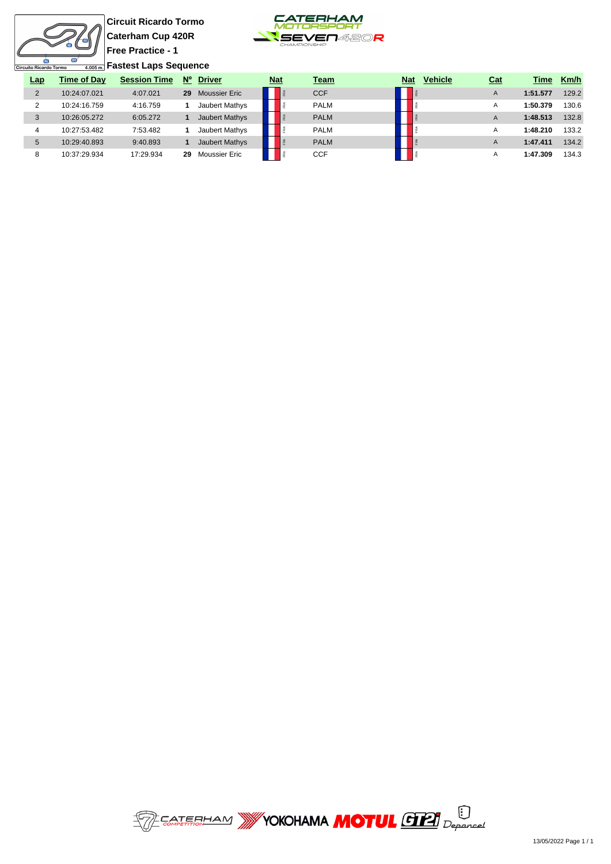直

uito Ricardo Tormo

**Circuit Ricardo Tormo Caterham Cup 420R Free Practice - 1 Fastest Laps Sequence**



| <u>Lap</u> | Time of Dav  | <b>Session Time</b> | $N^{\circ}$ | <b>Driver</b>  | <b>Nat</b> | Team        | <b>Nat</b> | <b>Vehicle</b> | <b>Cat</b> | Time     | Km/h  |
|------------|--------------|---------------------|-------------|----------------|------------|-------------|------------|----------------|------------|----------|-------|
| 2          | 10:24:07.021 | 4:07.021            | 29          | Moussier Eric  |            | <b>CCF</b>  |            |                | A          | 1:51.577 | 129.2 |
|            | 10:24:16.759 | 4:16.759            |             | Jaubert Mathys |            | <b>PALM</b> |            |                | A          | 1:50.379 | 130.6 |
| 3          | 10:26:05.272 | 6:05.272            |             | Jaubert Mathys |            | <b>PALM</b> |            |                | A          | 1:48.513 | 132.8 |
| 4          | 10:27:53.482 | 7:53.482            |             | Jaubert Mathys |            | <b>PALM</b> |            |                | A          | 1:48.210 | 133.2 |
| 5          | 10:29:40.893 | 9:40.893            |             | Jaubert Mathys |            | <b>PALM</b> |            |                | A          | 1:47.411 | 134.2 |
| 8          | 10:37:29.934 | 17:29.934           | 29          | Moussier Eric  |            | <b>CCF</b>  |            |                | A          | 1:47.309 | 134.3 |

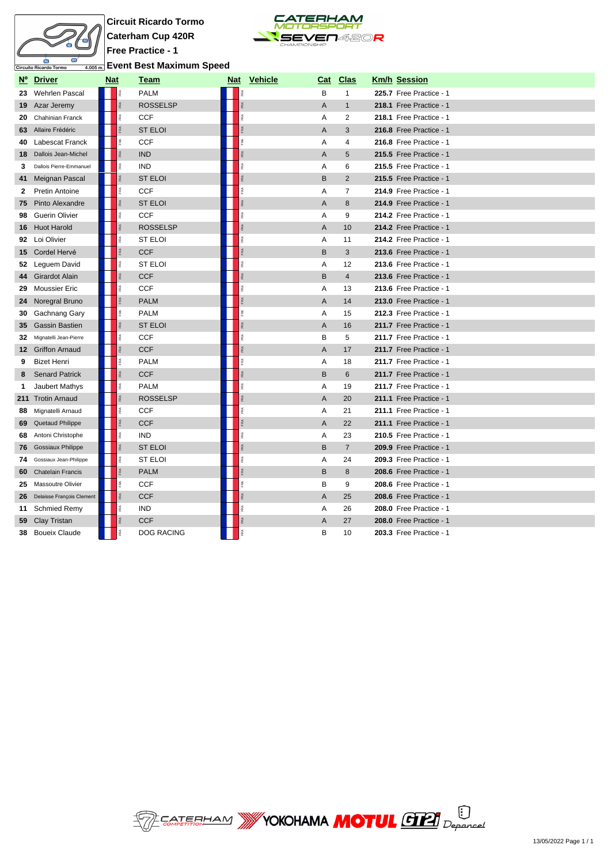

**Circuit Ricardo Tormo Caterham Cup 420R Free Practice - 1 Event Best Maximum Speed**



|     | Nº Driver                 | <b>Nat</b> |      | <b>Team</b>       |           | Nat Vehicle | <u>Cat</u>     | <b>Clas</b>    | <b>Km/h Session</b>     |
|-----|---------------------------|------------|------|-------------------|-----------|-------------|----------------|----------------|-------------------------|
|     | 23 Wehrlen Pascal         |            |      | <b>PALM</b>       |           |             | В              | $\mathbf{1}$   | 225.7 Free Practice - 1 |
|     | 19 Azar Jeremy            |            |      | <b>ROSSELSP</b>   |           |             | $\overline{A}$ | $\mathbf{1}$   | 218.1 Free Practice - 1 |
| 20  | Chahinian Franck          |            |      | <b>CCF</b>        | FRA       |             | Α              | $\overline{2}$ | 218.1 Free Practice - 1 |
|     | 63 Allaire Frédéric       |            |      | <b>ST ELOI</b>    | FRA       |             | A              | 3              | 216.8 Free Practice - 1 |
| 40  | <b>Labescat Franck</b>    |            | îRA. | <b>CCF</b>        | FRA       |             | Α              | 4              | 216.8 Free Practice - 1 |
| 18. | Dallois Jean-Michel       |            |      | <b>IND</b>        | FRA.      |             | A              | 5              | 215.5 Free Practice - 1 |
| 3   | Dallois Pierre-Emmanuel   |            | Ř    | IND               | é         |             | Α              | 6              | 215.5 Free Practice - 1 |
| 41  | Meignan Pascal            |            |      | <b>ST ELOI</b>    |           |             | В              | $\overline{2}$ | 215.5 Free Practice - 1 |
| 2   | Pretin Antoine            |            |      | <b>CCF</b>        | īRA       |             | Α              | $\overline{7}$ | 214.9 Free Practice - 1 |
| 75  | Pinto Alexandre           |            |      | <b>ST ELOI</b>    |           |             | A              | 8              | 214.9 Free Practice - 1 |
| 98  | <b>Guerin Olivier</b>     |            |      | <b>CCF</b>        | é         |             | Α              | 9              | 214.2 Free Practice - 1 |
|     | 16 Huot Harold            |            |      | <b>ROSSELSP</b>   | <b>RA</b> |             | A              | 10             | 214.2 Free Practice - 1 |
|     | 92 Loi Olivier            |            | îRA. | <b>ST ELOI</b>    | FRA       |             | Α              | 11             | 214.2 Free Practice - 1 |
| 15  | Cordel Hervé              |            |      | <b>CCF</b>        | RA        |             | B              | 3              | 213.6 Free Practice - 1 |
|     | 52 Leguem David           |            |      | <b>ST ELOI</b>    | RA        |             | Α              | 12             | 213.6 Free Practice - 1 |
|     | 44 Girardot Alain         |            |      | <b>CCF</b>        |           |             | В              | $\overline{4}$ | 213.6 Free Practice - 1 |
| 29  | <b>Moussier Eric</b>      |            |      | <b>CCF</b>        | ř         |             | Α              | 13             | 213.6 Free Practice - 1 |
| 24  | Noregral Bruno            |            |      | <b>PALM</b>       |           |             | A              | 14             | 213.0 Free Practice - 1 |
| 30  | Gachnang Gary             |            |      | <b>PALM</b>       | é         |             | Α              | 15             | 212.3 Free Practice - 1 |
| 35  | <b>Gassin Bastien</b>     |            |      | <b>ST ELOI</b>    |           |             | A              | 16             | 211.7 Free Practice - 1 |
| 32  | Mignatelli Jean-Pierre    |            |      | <b>CCF</b>        | é         |             | B              | 5              | 211.7 Free Practice - 1 |
|     | 12 Griffon Arnaud         |            |      | <b>CCF</b>        | FRA       |             | $\mathsf A$    | 17             | 211.7 Free Practice - 1 |
| 9   | <b>Bizet Henri</b>        |            | Ř    | <b>PALM</b>       | RA        |             | Α              | 18             | 211.7 Free Practice - 1 |
| 8   | <b>Senard Patrick</b>     |            |      | <b>CCF</b>        | FRA.      |             | В              | 6              | 211.7 Free Practice - 1 |
| 1   | Jaubert Mathys            |            | î.   | <b>PALM</b>       | FRA       |             | Α              | 19             | 211.7 Free Practice - 1 |
|     | 211 Trotin Arnaud         |            |      | <b>ROSSELSP</b>   | FRA       |             | A              | 20             | 211.1 Free Practice - 1 |
| 88  | Mignatelli Arnaud         |            | 歪    | <b>CCF</b>        | 歪         |             | Α              | 21             | 211.1 Free Practice - 1 |
| 69  | Quetaud Philippe          |            |      | <b>CCF</b>        |           |             | A              | 22             | 211.1 Free Practice - 1 |
| 68  | Antoni Christophe         |            | îRA. | <b>IND</b>        |           |             | Α              | 23             | 210.5 Free Practice - 1 |
|     | 76 Gossiaux Philippe      |            |      | <b>ST ELOI</b>    |           |             | В              | $\overline{7}$ | 209.9 Free Practice - 1 |
| 74  | Gossiaux Jean-Philippe    |            | é    | <b>ST ELOI</b>    | ř         |             | Α              | 24             | 209.3 Free Practice - 1 |
| 60  | <b>Chatelain Francis</b>  |            |      | <b>PALM</b>       |           |             | В              | 8              | 208.6 Free Practice - 1 |
| 25  | Massoutre Olivier         |            | īRA  | <b>CCF</b>        |           |             | B              | 9              | 208.6 Free Practice - 1 |
| 26  | Delaisse François Clement |            |      | <b>CCF</b>        |           |             | Α              | 25             | 208.6 Free Practice - 1 |
|     | 11 Schmied Remy           |            |      | <b>IND</b>        |           |             | Α              | 26             | 208.0 Free Practice - 1 |
| 59. | <b>Clay Tristan</b>       |            |      | <b>CCF</b>        |           |             | A              | 27             | 208.0 Free Practice - 1 |
| 38  | <b>Boueix Claude</b>      |            |      | <b>DOG RACING</b> |           |             | B              | 10             | 203.3 Free Practice - 1 |

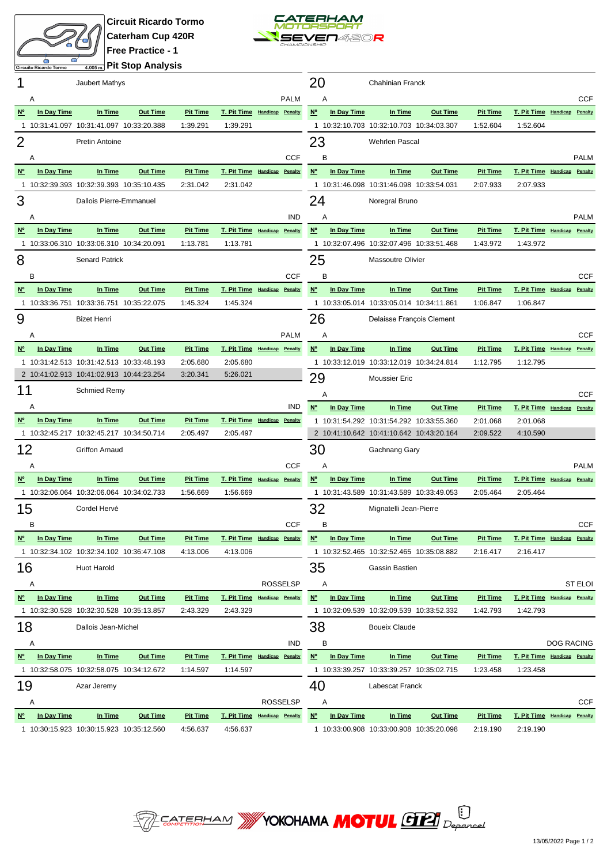



**Pit Stop Analysis**

| 1              |                  | Jaubert Mathys                           |                 |                 |                                     |                 |             | 20               |                  | Chahinian Franck                         |                 |                 |                                     |            |                |
|----------------|------------------|------------------------------------------|-----------------|-----------------|-------------------------------------|-----------------|-------------|------------------|------------------|------------------------------------------|-----------------|-----------------|-------------------------------------|------------|----------------|
|                | Α                |                                          |                 |                 |                                     |                 | <b>PALM</b> |                  | Α                |                                          |                 |                 |                                     |            | CCF            |
| $N^{\circ}$    | In Day Time      | In Time                                  | <b>Out Time</b> | <b>Pit Time</b> | T. Pit Time Handicap Penalty        |                 |             | $N^{\circ}$      | In Day Time      | In Time                                  | <b>Out Time</b> | <b>Pit Time</b> | T. Pit Time Handicap Penalty        |            |                |
|                |                  | 1 10:31:41.097 10:31:41.097 10:33:20.388 |                 | 1:39.291        | 1:39.291                            |                 |             |                  |                  | 1 10:32:10.703 10:32:10.703 10:34:03.307 |                 | 1:52.604        | 1:52.604                            |            |                |
| $\overline{2}$ |                  | <b>Pretin Antoine</b>                    |                 |                 |                                     |                 |             | 23               |                  | <b>Wehrlen Pascal</b>                    |                 |                 |                                     |            |                |
|                | Α                |                                          |                 |                 |                                     |                 | <b>CCF</b>  |                  | B                |                                          |                 |                 |                                     |            | <b>PALM</b>    |
| $N^{\circ}$    | In Day Time      | In Time                                  | <b>Out Time</b> | <b>Pit Time</b> | T. Pit Time Handicap Penalty        |                 |             | $N^{\circ}$      | In Day Time      | In Time                                  | <b>Out Time</b> | <b>Pit Time</b> | T. Pit Time Handicap Penalty        |            |                |
|                |                  | 1 10:32:39.393 10:32:39.393 10:35:10.435 |                 | 2:31.042        | 2:31.042                            |                 |             |                  |                  | 1 10:31:46.098 10:31:46.098 10:33:54.031 |                 | 2:07.933        | 2:07.933                            |            |                |
| 3              |                  | Dallois Pierre-Emmanuel                  |                 |                 |                                     |                 |             | 24               |                  | Noregral Bruno                           |                 |                 |                                     |            |                |
|                | Α                |                                          |                 |                 |                                     |                 | <b>IND</b>  |                  | Α                |                                          |                 |                 |                                     |            | <b>PALM</b>    |
| $N^{\circ}$    | In Day Time      | In Time                                  | <b>Out Time</b> | <b>Pit Time</b> | T. Pit Time Handicap Penalty        |                 |             | $N^{\circ}$      | In Day Time      | In Time                                  | <b>Out Time</b> | <b>Pit Time</b> | T. Pit Time Handicap Penalty        |            |                |
|                |                  | 1 10:33:06.310 10:33:06.310 10:34:20.091 |                 | 1:13.781        | 1:13.781                            |                 |             |                  |                  | 1 10:32:07.496 10:32:07.496 10:33:51.468 |                 | 1:43.972        | 1:43.972                            |            |                |
|                |                  |                                          |                 |                 |                                     |                 |             |                  |                  |                                          |                 |                 |                                     |            |                |
| 8              |                  | <b>Senard Patrick</b>                    |                 |                 |                                     |                 |             | 25               |                  | <b>Massoutre Olivier</b>                 |                 |                 |                                     |            |                |
|                | В                |                                          |                 |                 |                                     |                 | <b>CCF</b>  |                  | B                |                                          |                 |                 |                                     |            | <b>CCF</b>     |
| <u>N°</u>      | In Day Time      | In Time                                  | <b>Out Time</b> | <b>Pit Time</b> | T. Pit Time Handicap Penalty        |                 |             | $N^{\circ}$      | In Day Time      | In Time                                  | <b>Out Time</b> | <b>Pit Time</b> | T. Pit Time Handicap Penalty        |            |                |
|                |                  | 1 10:33:36.751 10:33:36.751 10:35:22.075 |                 | 1:45.324        | 1:45.324                            |                 |             |                  |                  | 1 10:33:05.014 10:33:05.014 10:34:11.861 |                 | 1:06.847        | 1:06.847                            |            |                |
| 9              |                  | <b>Bizet Henri</b>                       |                 |                 |                                     |                 |             | 26               |                  | Delaisse François Clement                |                 |                 |                                     |            |                |
|                | Α                |                                          |                 |                 |                                     |                 | <b>PALM</b> |                  | A                |                                          |                 |                 |                                     |            | <b>CCF</b>     |
| $N^{\circ}$    | In Day Time      | In Time                                  | <b>Out Time</b> | <b>Pit Time</b> | T. Pit Time Handicap Penalty        |                 |             | $N^{\circ}$      | In Day Time      | In Time                                  | <b>Out Time</b> | <b>Pit Time</b> | T. Pit Time Handicap Penalty        |            |                |
|                |                  | 1 10:31:42.513 10:31:42.513 10:33:48.193 |                 | 2:05.680        | 2:05.680                            |                 |             |                  |                  | 1 10:33:12.019 10:33:12.019 10:34:24.814 |                 | 1:12.795        | 1:12.795                            |            |                |
|                |                  | 2 10:41:02.913 10:41:02.913 10:44:23.254 |                 | 3:20.341        | 5:26.021                            |                 |             | 29               |                  | Moussier Eric                            |                 |                 |                                     |            |                |
| 11             |                  | <b>Schmied Remy</b>                      |                 |                 |                                     |                 |             |                  | Α                |                                          |                 |                 |                                     |            | CCF            |
|                | Α                |                                          |                 |                 |                                     |                 | <b>IND</b>  | $N^{\circ}$      | In Day Time      | In Time                                  | <b>Out Time</b> | <b>Pit Time</b> | T. Pit Time Handicap Penalty        |            |                |
| $N^{\circ}$    | In Day Time      | In Time                                  | <b>Out Time</b> | <b>Pit Time</b> | T. Pit Time Handicap                |                 | Penalty     |                  |                  | 1 10:31:54.292 10:31:54.292 10:33:55.360 |                 | 2:01.068        | 2:01.068                            |            |                |
|                |                  | 1 10:32:45.217 10:32:45.217 10:34:50.714 |                 | 2:05.497        | 2:05.497                            |                 |             |                  |                  | 2 10:41:10.642 10:41:10.642 10:43:20.164 |                 | 2:09.522        | 4:10.590                            |            |                |
| 12             |                  | <b>Griffon Arnaud</b>                    |                 |                 |                                     |                 |             | 30               |                  | Gachnang Gary                            |                 |                 |                                     |            |                |
|                | Α                |                                          |                 |                 |                                     |                 | <b>CCF</b>  |                  | Α                |                                          |                 |                 |                                     |            | <b>PALM</b>    |
| <b>N°</b>      | In Day Time      | In Time                                  | <b>Out Time</b> | <b>Pit Time</b> | T. Pit Time Handicap Penalty        |                 |             | <b>N°</b>        | In Day Time      | In Time                                  | <b>Out Time</b> | <b>Pit Time</b> | T. Pit Time Handicap Penalty        |            |                |
|                |                  | 1 10:32:06.064 10:32:06.064 10:34:02.733 |                 | 1:56.669        | 1:56.669                            |                 |             |                  |                  | 1 10:31:43.589 10:31:43.589 10:33:49.053 |                 | 2:05.464        | 2:05.464                            |            |                |
| 15             |                  | Cordel Hervé                             |                 |                 |                                     |                 |             | 32               |                  | Mignatelli Jean-Pierre                   |                 |                 |                                     |            |                |
|                | В                |                                          |                 |                 |                                     |                 | <b>CCF</b>  |                  | B                |                                          |                 |                 |                                     |            | <b>CCF</b>     |
| <u>N°</u>      | In Day Time      | <u>In Time</u>                           | <b>Out Time</b> | <b>Pit Time</b> | <b>T. Pit Time</b> Handicap Penalty |                 |             | $\overline{W_0}$ | In Day Time      | <u>In Time</u>                           | <b>Out Time</b> | <b>Pit Time</b> | <b>T. Pit Time</b> Handicap Penalty |            |                |
|                |                  | 1 10:32:34.102 10:32:34.102 10:36:47.108 |                 | 4:13.006        | 4:13.006                            |                 |             |                  |                  | 1 10:32:52.465 10:32:52.465 10:35:08.882 |                 | 2:16.417        | 2:16.417                            |            |                |
| 16             |                  | Huot Harold                              |                 |                 |                                     |                 |             | 35               |                  | Gassin Bastien                           |                 |                 |                                     |            |                |
|                |                  |                                          |                 |                 |                                     |                 |             |                  |                  |                                          |                 |                 |                                     |            |                |
| <u>N°</u>      | Α<br>In Day Time | In Time                                  | <b>Out Time</b> | <b>Pit Time</b> | T. Pit Time Handicap Penalty        | <b>ROSSELSP</b> |             | $N^{\circ}$      | Α<br>In Day Time | In Time                                  | <b>Out Time</b> | <b>Pit Time</b> | T. Pit Time Handicap Penalty        |            | <b>ST ELOI</b> |
|                |                  | 1 10:32:30.528 10:32:30.528 10:35:13.857 |                 | 2:43.329        | 2:43.329                            |                 |             |                  |                  | 1 10:32:09.539 10:32:09.539 10:33:52.332 |                 | 1:42.793        | 1:42.793                            |            |                |
|                |                  |                                          |                 |                 |                                     |                 |             |                  |                  |                                          |                 |                 |                                     |            |                |
| 18             |                  | Dallois Jean-Michel                      |                 |                 |                                     |                 |             | 38               |                  | <b>Boueix Claude</b>                     |                 |                 |                                     |            |                |
|                | Α                |                                          |                 |                 |                                     |                 | IND         |                  | В                |                                          |                 |                 |                                     | DOG RACING |                |
| <b>N°</b>      | In Day Time      | In Time                                  | <b>Out Time</b> | <b>Pit Time</b> | T. Pit Time Handicap Penalty        |                 |             | <b>N°</b>        | In Day Time      | In Time                                  | <b>Out Time</b> | <b>Pit Time</b> | T. Pit Time Handicap Penalty        |            |                |
|                |                  | 1 10:32:58.075 10:32:58.075 10:34:12.672 |                 | 1:14.597        | 1:14.597                            |                 |             |                  |                  | 1 10:33:39.257 10:33:39.257 10:35:02.715 |                 | 1:23.458        | 1:23.458                            |            |                |
| 19             |                  | Azar Jeremy                              |                 |                 |                                     |                 |             | 40               |                  | Labescat Franck                          |                 |                 |                                     |            |                |
|                | Α                |                                          |                 |                 |                                     | <b>ROSSELSP</b> |             |                  | Α                |                                          |                 |                 |                                     |            | CCF            |
| <u>N°</u>      | In Day Time      | In Time                                  | <b>Out Time</b> | <b>Pit Time</b> | T. Pit Time Handicap Penalty        |                 |             | <u>N°</u>        | In Day Time      | In Time                                  | <b>Out Time</b> | <b>Pit Time</b> | T. Pit Time Handicap Penalty        |            |                |
|                |                  | 1 10:30:15.923 10:30:15.923 10:35:12.560 |                 | 4:56.637        | 4:56.637                            |                 |             |                  |                  | 1 10:33:00.908 10:33:00.908 10:35:20.098 |                 | 2:19.190        | 2:19.190                            |            |                |

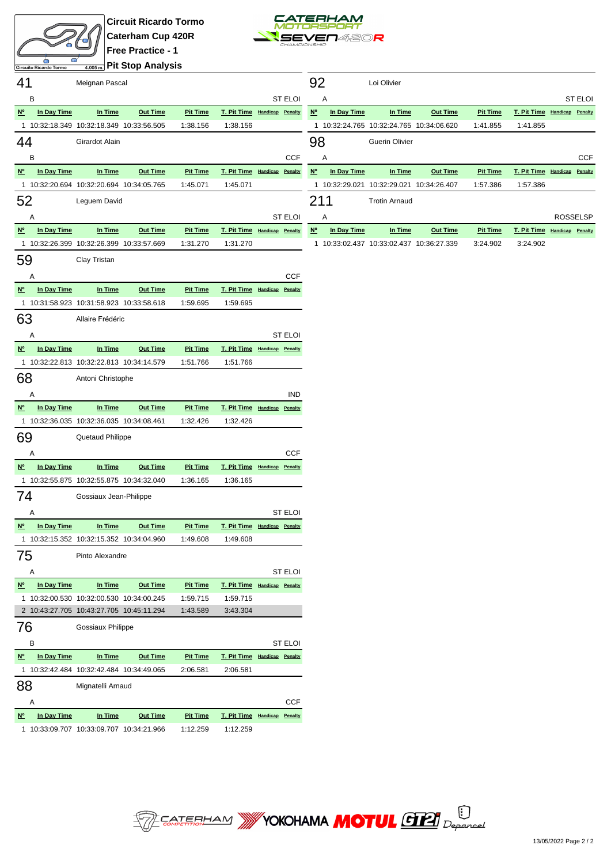



**Pit Stop Analysis**

| 41                                    |              | Meignan Pascal                           |                 |                 |                              |                | 92                      |             | Loi Olivier                              |                 |                 |          |                              |
|---------------------------------------|--------------|------------------------------------------|-----------------|-----------------|------------------------------|----------------|-------------------------|-------------|------------------------------------------|-----------------|-----------------|----------|------------------------------|
|                                       | в            |                                          |                 |                 |                              | <b>ST ELOI</b> |                         | Α           |                                          |                 |                 |          | <b>ST ELOI</b>               |
| <u>N°</u>                             | In Day Time  | In Time                                  | <b>Out Time</b> | <b>Pit Time</b> | T. Pit Time Handicap Penalty |                | <u>N°</u>               | In Day Time | In Time                                  | <b>Out Time</b> | <b>Pit Time</b> |          | T. Pit Time Handicap Penalty |
|                                       |              | 1 10:32:18.349 10:32:18.349 10:33:56.505 |                 | 1:38.156        | 1:38.156                     |                |                         |             | 1 10:32:24.765 10:32:24.765 10:34:06.620 |                 | 1:41.855        | 1:41.855 |                              |
| 44                                    |              | Girardot Alain                           |                 |                 |                              |                | 98                      |             | <b>Guerin Olivier</b>                    |                 |                 |          |                              |
|                                       | В            |                                          |                 |                 |                              | <b>CCF</b>     |                         | Α           |                                          |                 |                 |          | <b>CCF</b>                   |
| $N^{\circ}$                           | In Day Time  | In Time                                  | <b>Out Time</b> | <b>Pit Time</b> | T. Pit Time Handicap Penalty |                | $\underline{N}^{\circ}$ | In Day Time | In Time                                  | <b>Out Time</b> | <b>Pit Time</b> |          | T. Pit Time Handicap Penalty |
|                                       |              | 1 10:32:20.694 10:32:20.694 10:34:05.765 |                 | 1:45.071        | 1:45.071                     |                |                         |             | 1 10:32:29.021 10:32:29.021 10:34:26.407 |                 | 1:57.386        | 1:57.386 |                              |
| 52                                    |              | Leguem David                             |                 |                 |                              |                | 211                     |             | <b>Trotin Arnaud</b>                     |                 |                 |          |                              |
|                                       | A            |                                          |                 |                 |                              | <b>ST ELOI</b> |                         | Α           |                                          |                 |                 |          | <b>ROSSELSP</b>              |
| $N^{\circ}$                           | In Day Time  | In Time                                  | <b>Out Time</b> | <b>Pit Time</b> | T. Pit Time Handicap Penalty |                | $N^{\circ}$             | In Day Time | In Time                                  | <b>Out Time</b> | <b>Pit Time</b> |          | T. Pit Time Handicap Penalty |
|                                       |              | 1 10:32:26.399 10:32:26.399 10:33:57.669 |                 | 1:31.270        | 1:31.270                     |                |                         |             | 1 10:33:02.437 10:33:02.437 10:36:27.339 |                 | 3:24.902        | 3:24.902 |                              |
| 59                                    |              | Clay Tristan                             |                 |                 |                              |                |                         |             |                                          |                 |                 |          |                              |
|                                       | $\mathsf{A}$ |                                          |                 |                 |                              | <b>CCF</b>     |                         |             |                                          |                 |                 |          |                              |
| <u>N°</u>                             | In Day Time  | In Time                                  | <b>Out Time</b> | <b>Pit Time</b> | T. Pit Time Handicap Penalty |                |                         |             |                                          |                 |                 |          |                              |
|                                       |              | 1 10:31:58.923 10:31:58.923 10:33:58.618 |                 | 1:59.695        | 1:59.695                     |                |                         |             |                                          |                 |                 |          |                              |
| 63                                    |              | Allaire Frédéric                         |                 |                 |                              |                |                         |             |                                          |                 |                 |          |                              |
|                                       | A            |                                          |                 |                 |                              | <b>ST ELOI</b> |                         |             |                                          |                 |                 |          |                              |
| $N^{\circ}$                           | In Day Time  | In Time                                  | <b>Out Time</b> | <b>Pit Time</b> | T. Pit Time Handicap Penalty |                |                         |             |                                          |                 |                 |          |                              |
|                                       |              | 1 10:32:22.813 10:32:22.813 10:34:14.579 |                 | 1:51.766        | 1:51.766                     |                |                         |             |                                          |                 |                 |          |                              |
| 68                                    |              | Antoni Christophe                        |                 |                 |                              |                |                         |             |                                          |                 |                 |          |                              |
|                                       | Α            |                                          |                 |                 |                              | <b>IND</b>     |                         |             |                                          |                 |                 |          |                              |
| $N^{\circ}$                           | In Day Time  | In Time                                  | <b>Out Time</b> | <b>Pit Time</b> | T. Pit Time Handicap         | Penalty        |                         |             |                                          |                 |                 |          |                              |
|                                       |              | 1 10:32:36.035 10:32:36.035 10:34:08.461 |                 | 1:32.426        | 1:32.426                     |                |                         |             |                                          |                 |                 |          |                              |
| 69                                    |              | Quetaud Philippe                         |                 |                 |                              |                |                         |             |                                          |                 |                 |          |                              |
|                                       | Α            |                                          |                 |                 |                              | <b>CCF</b>     |                         |             |                                          |                 |                 |          |                              |
| $N^{\circ}$                           | In Day Time  | In Time                                  | <b>Out Time</b> | <b>Pit Time</b> | T. Pit Time Handicap         | Penalty        |                         |             |                                          |                 |                 |          |                              |
|                                       |              | 1 10:32:55.875 10:32:55.875 10:34:32.040 |                 | 1:36.165        | 1:36.165                     |                |                         |             |                                          |                 |                 |          |                              |
| 74                                    |              | Gossiaux Jean-Philippe                   |                 |                 |                              |                |                         |             |                                          |                 |                 |          |                              |
|                                       | A            |                                          |                 |                 |                              | <b>ST ELOI</b> |                         |             |                                          |                 |                 |          |                              |
| $\underline{\mathsf{N}^{\mathsf{o}}}$ | In Day Time  | In Time                                  | <b>Out Time</b> | <b>Pit Time</b> | T. Pit Time Handicap Penalty |                |                         |             |                                          |                 |                 |          |                              |
|                                       |              | 1 10:32:15.352 10:32:15.352 10:34:04.960 |                 | 1:49.608        | 1:49.608                     |                |                         |             |                                          |                 |                 |          |                              |
| 75                                    |              | Pinto Alexandre                          |                 |                 |                              |                |                         |             |                                          |                 |                 |          |                              |
|                                       | A            |                                          |                 |                 |                              | <b>ST ELOI</b> |                         |             |                                          |                 |                 |          |                              |
| <u>N°</u>                             | In Day Time  | In Time                                  | <b>Out Time</b> | <b>Pit Time</b> | T. Pit Time Handicap Penalty |                |                         |             |                                          |                 |                 |          |                              |
|                                       |              | 1 10:32:00.530 10:32:00.530 10:34:00.245 |                 | 1:59.715        | 1:59.715                     |                |                         |             |                                          |                 |                 |          |                              |
|                                       |              | 2 10:43:27.705 10:43:27.705 10:45:11.294 |                 | 1:43.589        | 3:43.304                     |                |                         |             |                                          |                 |                 |          |                              |
| 76                                    |              | Gossiaux Philippe                        |                 |                 |                              |                |                         |             |                                          |                 |                 |          |                              |
|                                       | В            |                                          |                 |                 |                              | <b>ST ELOI</b> |                         |             |                                          |                 |                 |          |                              |
| <u>N°</u>                             | In Day Time  | In Time                                  | <b>Out Time</b> | <b>Pit Time</b> | T. Pit Time Handicap Penalty |                |                         |             |                                          |                 |                 |          |                              |
|                                       |              | 1 10:32:42.484 10:32:42.484 10:34:49.065 |                 | 2:06.581        | 2:06.581                     |                |                         |             |                                          |                 |                 |          |                              |
| 88                                    |              | Mignatelli Arnaud                        |                 |                 |                              |                |                         |             |                                          |                 |                 |          |                              |
|                                       | A            |                                          |                 |                 |                              | <b>CCF</b>     |                         |             |                                          |                 |                 |          |                              |
| <u>N°</u>                             | In Day Time  | In Time                                  | <b>Out Time</b> | <b>Pit Time</b> | T. Pit Time Handicap         | Penalty        |                         |             |                                          |                 |                 |          |                              |
|                                       |              | 1 10:33:09.707 10:33:09.707 10:34:21.966 |                 | 1:12.259        | 1:12.259                     |                |                         |             |                                          |                 |                 |          |                              |
|                                       |              |                                          |                 |                 |                              |                |                         |             |                                          |                 |                 |          |                              |